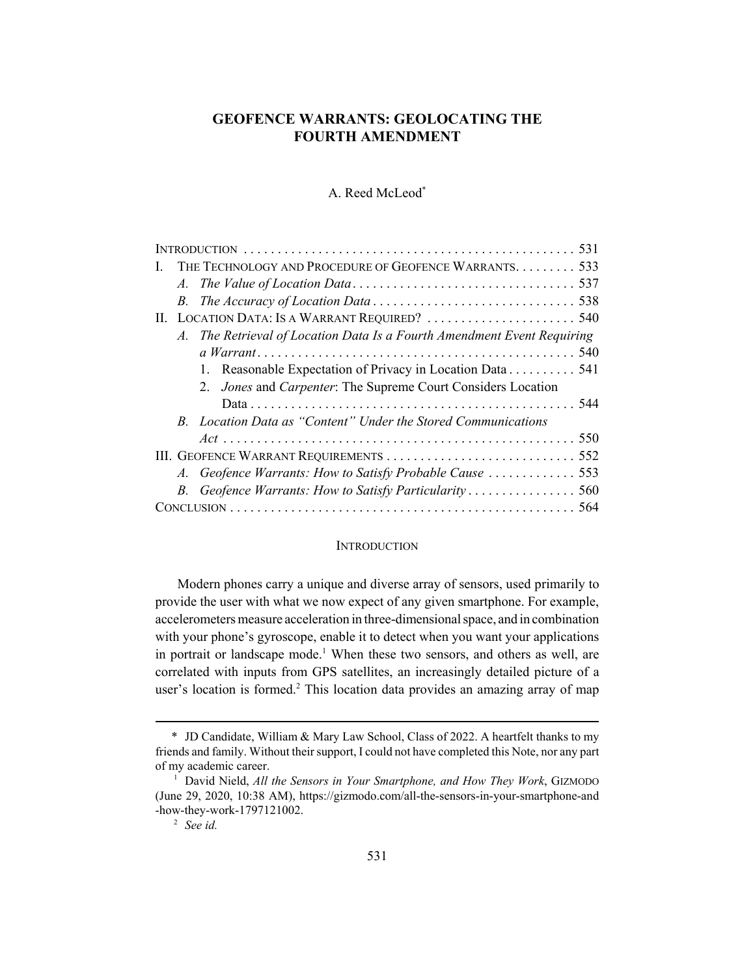# **GEOFENCE WARRANTS: GEOLOCATING THE FOURTH AMENDMENT**

### A. Reed McLeod\*

| Ι. |  | THE TECHNOLOGY AND PROCEDURE OF GEOFENCE WARRANTS 533                   |  |
|----|--|-------------------------------------------------------------------------|--|
|    |  |                                                                         |  |
|    |  |                                                                         |  |
|    |  |                                                                         |  |
|    |  | A. The Retrieval of Location Data Is a Fourth Amendment Event Requiring |  |
|    |  |                                                                         |  |
|    |  | 1. Reasonable Expectation of Privacy in Location Data 541               |  |
|    |  | 2. Jones and Carpenter: The Supreme Court Considers Location            |  |
|    |  |                                                                         |  |
|    |  | B. Location Data as "Content" Under the Stored Communications           |  |
|    |  |                                                                         |  |
|    |  |                                                                         |  |
|    |  |                                                                         |  |
|    |  |                                                                         |  |
|    |  |                                                                         |  |

#### **INTRODUCTION**

Modern phones carry a unique and diverse array of sensors, used primarily to provide the user with what we now expect of any given smartphone. For example, accelerometers measure acceleration in three-dimensional space, and in combination with your phone's gyroscope, enable it to detect when you want your applications in portrait or landscape mode.<sup>1</sup> When these two sensors, and others as well, are correlated with inputs from GPS satellites, an increasingly detailed picture of a user's location is formed.<sup>2</sup> This location data provides an amazing array of map

<sup>\*</sup> JD Candidate, William & Mary Law School, Class of 2022. A heartfelt thanks to my friends and family. Without their support, I could not have completed this Note, nor any part of my academic career.

<sup>&</sup>lt;sup>1</sup> David Nield, *All the Sensors in Your Smartphone, and How They Work*, GIZMODO (June 29, 2020, 10:38 AM), https://gizmodo.com/all-the-sensors-in-your-smartphone-and -how-they-work-1797121002.

<sup>2</sup> *See id.*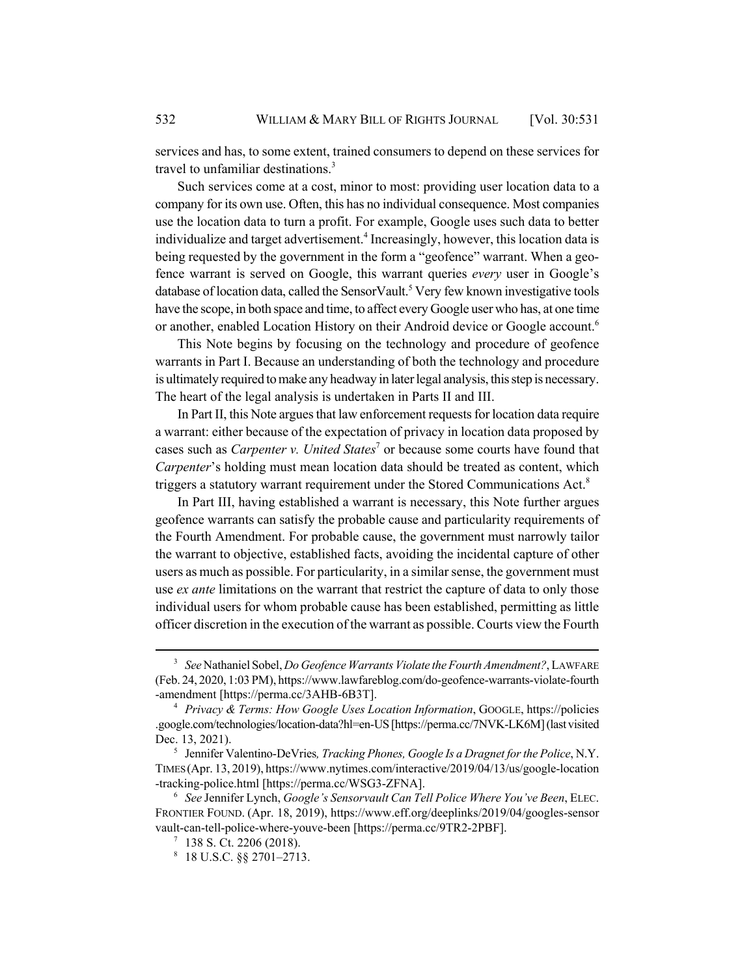services and has, to some extent, trained consumers to depend on these services for travel to unfamiliar destinations.<sup>3</sup>

Such services come at a cost, minor to most: providing user location data to a company for its own use. Often, this has no individual consequence. Most companies use the location data to turn a profit. For example, Google uses such data to better individualize and target advertisement.<sup>4</sup> Increasingly, however, this location data is being requested by the government in the form a "geofence" warrant. When a geofence warrant is served on Google, this warrant queries *every* user in Google's database of location data, called the SensorVault.<sup>5</sup> Very few known investigative tools have the scope, in both space and time, to affect every Google user who has, at one time or another, enabled Location History on their Android device or Google account.<sup>6</sup>

This Note begins by focusing on the technology and procedure of geofence warrants in Part I. Because an understanding of both the technology and procedure is ultimately required to make any headway in later legal analysis, this step is necessary. The heart of the legal analysis is undertaken in Parts II and III.

In Part II, this Note argues that law enforcement requests for location data require a warrant: either because of the expectation of privacy in location data proposed by cases such as *Carpenter v. United States<sup>7</sup>* or because some courts have found that *Carpenter*'s holding must mean location data should be treated as content, which triggers a statutory warrant requirement under the Stored Communications Act.<sup>8</sup>

In Part III, having established a warrant is necessary, this Note further argues geofence warrants can satisfy the probable cause and particularity requirements of the Fourth Amendment. For probable cause, the government must narrowly tailor the warrant to objective, established facts, avoiding the incidental capture of other users as much as possible. For particularity, in a similar sense, the government must use *ex ante* limitations on the warrant that restrict the capture of data to only those individual users for whom probable cause has been established, permitting as little officer discretion in the execution of the warrant as possible. Courts view the Fourth

<sup>3</sup> *See* Nathaniel Sobel, *Do Geofence Warrants Violate the Fourth Amendment?*, LAWFARE (Feb. 24, 2020, 1:03 PM), https://www.lawfareblog.com/do-geofence-warrants-violate-fourth -amendment [https://perma.cc/3AHB-6B3T].

<sup>4</sup> *Privacy & Terms: How Google Uses Location Information*, GOOGLE, https://policies .google.com/technologies/location-data?hl=en-US [https://perma.cc/7NVK-LK6M] (last visited Dec. 13, 2021).

<sup>5</sup> Jennifer Valentino-DeVries*, Tracking Phones, Google Is a Dragnet for the Police*, N.Y. TIMES (Apr. 13, 2019), https://www.nytimes.com/interactive/2019/04/13/us/google-location -tracking-police.html [https://perma.cc/WSG3-ZFNA].

<sup>6</sup> *See* Jennifer Lynch, *Google's Sensorvault Can Tell Police Where You've Been*, ELEC. FRONTIER FOUND. (Apr. 18, 2019), https://www.eff.org/deeplinks/2019/04/googles-sensor vault-can-tell-police-where-youve-been [https://perma.cc/9TR2-2PBF].

 $7$  138 S. Ct. 2206 (2018).

 $8$  18 U.S.C. §§ 2701–2713.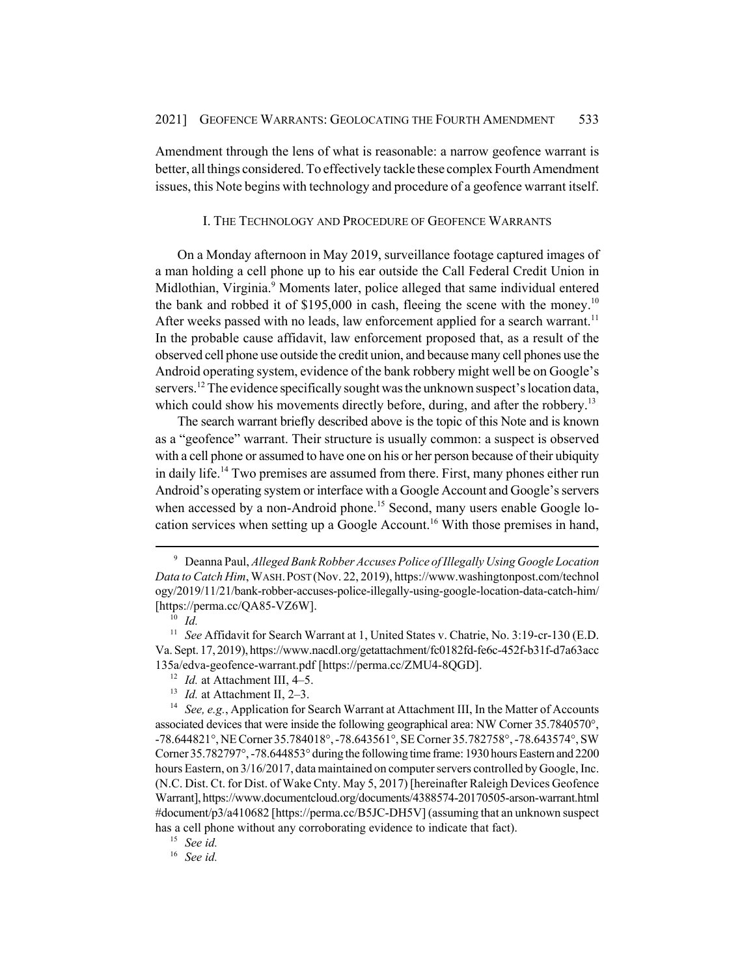Amendment through the lens of what is reasonable: a narrow geofence warrant is better, all things considered. To effectively tackle these complex Fourth Amendment issues, this Note begins with technology and procedure of a geofence warrant itself.

#### I. THE TECHNOLOGY AND PROCEDURE OF GEOFENCE WARRANTS

On a Monday afternoon in May 2019, surveillance footage captured images of a man holding a cell phone up to his ear outside the Call Federal Credit Union in Midlothian, Virginia.<sup>9</sup> Moments later, police alleged that same individual entered the bank and robbed it of  $$195,000$  in cash, fleeing the scene with the money.<sup>10</sup> After weeks passed with no leads, law enforcement applied for a search warrant.<sup>11</sup> In the probable cause affidavit, law enforcement proposed that, as a result of the observed cell phone use outside the credit union, and because many cell phones use the Android operating system, evidence of the bank robbery might well be on Google's servers.<sup>12</sup> The evidence specifically sought was the unknown suspect's location data, which could show his movements directly before, during, and after the robbery.<sup>13</sup>

The search warrant briefly described above is the topic of this Note and is known as a "geofence" warrant. Their structure is usually common: a suspect is observed with a cell phone or assumed to have one on his or her person because of their ubiquity in daily life.<sup>14</sup> Two premises are assumed from there. First, many phones either run Android's operating system or interface with a Google Account and Google's servers when accessed by a non-Android phone.<sup>15</sup> Second, many users enable Google location services when setting up a Google Account.<sup>16</sup> With those premises in hand,

<sup>15</sup> *See id.*

<sup>16</sup> *See id.*

<sup>9</sup> Deanna Paul, *Alleged Bank Robber Accuses Police of Illegally Using Google Location Data to Catch Him*, WASH.POST (Nov. 22, 2019), https://www.washingtonpost.com/technol ogy/2019/11/21/bank-robber-accuses-police-illegally-using-google-location-data-catch-him/ [https://perma.cc/QA85-VZ6W].

 $^{10}$  *Id.* 

<sup>&</sup>lt;sup>11</sup> *See* Affidavit for Search Warrant at 1, United States v. Chatrie, No. 3:19-cr-130 (E.D. Va. Sept. 17, 2019), https://www.nacdl.org/getattachment/fc0182fd-fe6c-452f-b31f-d7a63acc 135a/edva-geofence-warrant.pdf [https://perma.cc/ZMU4-8QGD].

<sup>&</sup>lt;sup>12</sup> *Id.* at Attachment III, 4–5.

<sup>&</sup>lt;sup>13</sup> *Id.* at Attachment II, 2–3.

<sup>&</sup>lt;sup>14</sup> *See, e.g.*, Application for Search Warrant at Attachment III, In the Matter of Accounts associated devices that were inside the following geographical area: NW Corner 35.7840570°, -78.644821°, NE Corner 35.784018°, -78.643561°, SE Corner 35.782758°, -78.643574°, SW Corner 35.782797°, -78.644853° during the following time frame: 1930 hours Eastern and 2200 hours Eastern, on 3/16/2017, data maintained on computer servers controlled by Google, Inc. (N.C. Dist. Ct. for Dist. of Wake Cnty. May 5, 2017) [hereinafter Raleigh Devices Geofence Warrant], https://www.documentcloud.org/documents/4388574-20170505-arson-warrant.html #document/p3/a410682 [https://perma.cc/B5JC-DH5V] (assuming that an unknown suspect has a cell phone without any corroborating evidence to indicate that fact).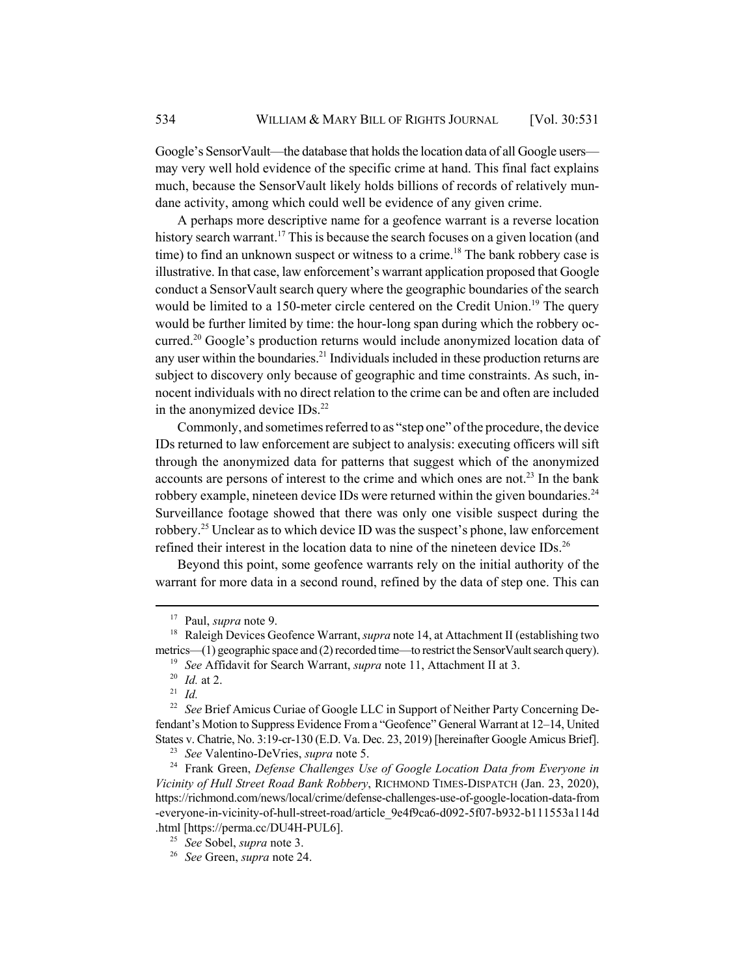Google's SensorVault—the database that holds the location data of all Google users may very well hold evidence of the specific crime at hand. This final fact explains much, because the SensorVault likely holds billions of records of relatively mundane activity, among which could well be evidence of any given crime.

A perhaps more descriptive name for a geofence warrant is a reverse location history search warrant.<sup>17</sup> This is because the search focuses on a given location (and time) to find an unknown suspect or witness to a crime.<sup>18</sup> The bank robbery case is illustrative. In that case, law enforcement's warrant application proposed that Google conduct a SensorVault search query where the geographic boundaries of the search would be limited to a 150-meter circle centered on the Credit Union.<sup>19</sup> The query would be further limited by time: the hour-long span during which the robbery occurred.<sup>20</sup> Google's production returns would include anonymized location data of any user within the boundaries.<sup>21</sup> Individuals included in these production returns are subject to discovery only because of geographic and time constraints. As such, innocent individuals with no direct relation to the crime can be and often are included in the anonymized device IDs.<sup>22</sup>

Commonly, and sometimes referred to as "step one" of the procedure, the device IDs returned to law enforcement are subject to analysis: executing officers will sift through the anonymized data for patterns that suggest which of the anonymized accounts are persons of interest to the crime and which ones are not.<sup>23</sup> In the bank robbery example, nineteen device IDs were returned within the given boundaries.<sup>24</sup> Surveillance footage showed that there was only one visible suspect during the robbery.25 Unclear as to which device ID was the suspect's phone, law enforcement refined their interest in the location data to nine of the nineteen device IDs.<sup>26</sup>

Beyond this point, some geofence warrants rely on the initial authority of the warrant for more data in a second round, refined by the data of step one. This can

<sup>17</sup> Paul, *supra* note 9.

<sup>18</sup> Raleigh Devices Geofence Warrant, *supra* note 14, at Attachment II (establishing two metrics—(1) geographic space and (2) recorded time—to restrict the SensorVault search query).

<sup>19</sup> *See* Affidavit for Search Warrant, *supra* note 11, Attachment II at 3.

<sup>20</sup> *Id.* at 2.

<sup>21</sup> *Id.*

<sup>&</sup>lt;sup>22</sup> *See* Brief Amicus Curiae of Google LLC in Support of Neither Party Concerning Defendant's Motion to Suppress Evidence From a "Geofence" General Warrant at 12–14, United States v. Chatrie, No. 3:19-cr-130 (E.D. Va. Dec. 23, 2019) [hereinafter Google Amicus Brief].

<sup>23</sup> *See* Valentino-DeVries, *supra* note 5.

<sup>24</sup> Frank Green, *Defense Challenges Use of Google Location Data from Everyone in Vicinity of Hull Street Road Bank Robbery*, RICHMOND TIMES-DISPATCH (Jan. 23, 2020), https://richmond.com/news/local/crime/defense-challenges-use-of-google-location-data-from -everyone-in-vicinity-of-hull-street-road/article\_9e4f9ca6-d092-5f07-b932-b111553a114d .html [https://perma.cc/DU4H-PUL6].

<sup>25</sup> *See* Sobel, *supra* note 3.

<sup>26</sup> *See* Green, *supra* note 24.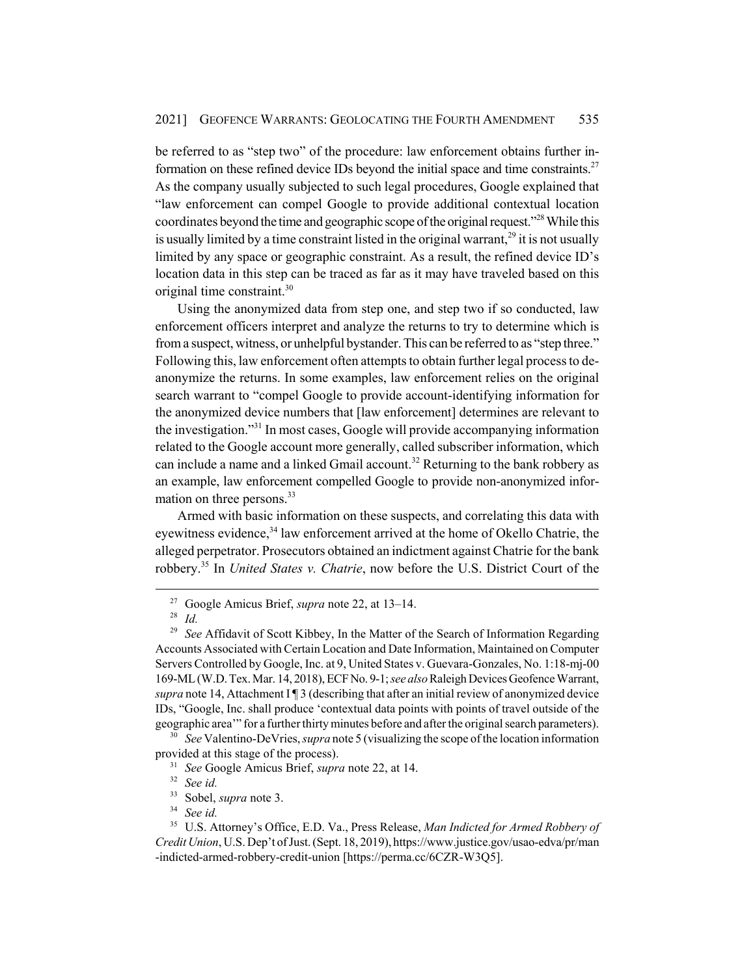be referred to as "step two" of the procedure: law enforcement obtains further information on these refined device IDs beyond the initial space and time constraints.<sup>27</sup> As the company usually subjected to such legal procedures, Google explained that "law enforcement can compel Google to provide additional contextual location coordinates beyond the time and geographic scope of the original request.<sup>328</sup> While this is usually limited by a time constraint listed in the original warrant,<sup>29</sup> it is not usually limited by any space or geographic constraint. As a result, the refined device ID's location data in this step can be traced as far as it may have traveled based on this original time constraint.30

Using the anonymized data from step one, and step two if so conducted, law enforcement officers interpret and analyze the returns to try to determine which is from a suspect, witness, or unhelpful bystander. This can be referred to as "step three." Following this, law enforcement often attempts to obtain further legal process to deanonymize the returns. In some examples, law enforcement relies on the original search warrant to "compel Google to provide account-identifying information for the anonymized device numbers that [law enforcement] determines are relevant to the investigation."31 In most cases, Google will provide accompanying information related to the Google account more generally, called subscriber information, which can include a name and a linked Gmail account.<sup>32</sup> Returning to the bank robbery as an example, law enforcement compelled Google to provide non-anonymized information on three persons.<sup>33</sup>

Armed with basic information on these suspects, and correlating this data with eyewitness evidence,<sup>34</sup> law enforcement arrived at the home of Okello Chatrie, the alleged perpetrator. Prosecutors obtained an indictment against Chatrie for the bank robbery.35 In *United States v. Chatrie*, now before the U.S. District Court of the

<sup>30</sup> *See* Valentino-DeVries, *supra* note 5 (visualizing the scope of the location information provided at this stage of the process).

<sup>31</sup> *See* Google Amicus Brief, *supra* note 22, at 14.

<sup>27</sup> Google Amicus Brief, *supra* note 22, at 13–14.

<sup>28</sup> *Id.*

<sup>29</sup> *See* Affidavit of Scott Kibbey, In the Matter of the Search of Information Regarding Accounts Associated with Certain Location and Date Information, Maintained on Computer Servers Controlled by Google, Inc. at 9, United States v. Guevara-Gonzales, No. 1:18-mj-00 169-ML (W.D. Tex. Mar. 14, 2018), ECF No. 9-1; *see also* Raleigh Devices Geofence Warrant, *supra* note 14, Attachment I ¶ 3 (describing that after an initial review of anonymized device IDs, "Google, Inc. shall produce 'contextual data points with points of travel outside of the geographic area'" for a further thirty minutes before and after the original search parameters).

<sup>32</sup> *See id.*

 $33$  Sobel, *supra* note 3.<br> $34$  See id

See id.

<sup>35</sup> U.S. Attorney's Office, E.D. Va., Press Release, *Man Indicted for Armed Robbery of Credit Union*, U.S. Dep't of Just. (Sept. 18, 2019), https://www.justice.gov/usao-edva/pr/man -indicted-armed-robbery-credit-union [https://perma.cc/6CZR-W3Q5].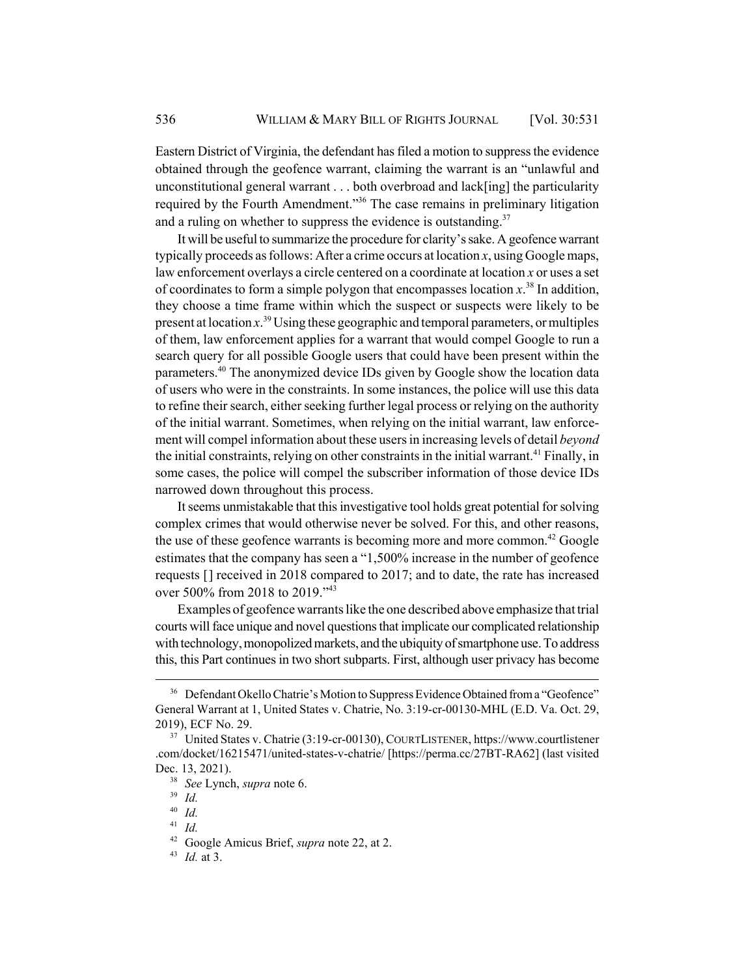Eastern District of Virginia, the defendant has filed a motion to suppress the evidence obtained through the geofence warrant, claiming the warrant is an "unlawful and unconstitutional general warrant . . . both overbroad and lack[ing] the particularity required by the Fourth Amendment."36 The case remains in preliminary litigation and a ruling on whether to suppress the evidence is outstanding.<sup>37</sup>

It will be useful to summarize the procedure for clarity's sake. A geofence warrant typically proceeds as follows: After a crime occurs at location *x*, using Google maps, law enforcement overlays a circle centered on a coordinate at location *x* or uses a set of coordinates to form a simple polygon that encompasses location *x*. 38 In addition, they choose a time frame within which the suspect or suspects were likely to be present at location *x*. 39 Using these geographic and temporal parameters, or multiples of them, law enforcement applies for a warrant that would compel Google to run a search query for all possible Google users that could have been present within the parameters.<sup>40</sup> The anonymized device IDs given by Google show the location data of users who were in the constraints. In some instances, the police will use this data to refine their search, either seeking further legal process or relying on the authority of the initial warrant. Sometimes, when relying on the initial warrant, law enforcement will compel information about these users in increasing levels of detail *beyond* the initial constraints, relying on other constraints in the initial warrant.<sup>41</sup> Finally, in some cases, the police will compel the subscriber information of those device IDs narrowed down throughout this process.

It seems unmistakable that this investigative tool holds great potential for solving complex crimes that would otherwise never be solved. For this, and other reasons, the use of these geofence warrants is becoming more and more common.<sup>42</sup> Google estimates that the company has seen a "1,500% increase in the number of geofence requests [] received in 2018 compared to 2017; and to date, the rate has increased over 500% from 2018 to 2019."43

Examples of geofence warrants like the one described above emphasize that trial courts will face unique and novel questions that implicate our complicated relationship with technology, monopolized markets, and the ubiquity of smartphone use. To address this, this Part continues in two short subparts. First, although user privacy has become

<sup>&</sup>lt;sup>36</sup> Defendant Okello Chatrie's Motion to Suppress Evidence Obtained from a "Geofence" General Warrant at 1, United States v. Chatrie, No. 3:19-cr-00130-MHL (E.D. Va. Oct. 29, 2019), ECF No. 29.

<sup>37</sup> United States v. Chatrie (3:19-cr-00130), COURTLISTENER, https://www.courtlistener .com/docket/16215471/united-states-v-chatrie/ [https://perma.cc/27BT-RA62] (last visited Dec. 13, 2021).

<sup>38</sup> *See* Lynch, *supra* note 6.

<sup>39</sup> *Id.*

<sup>40</sup> *Id.*

<sup>41</sup> *Id.*

<sup>42</sup> Google Amicus Brief, *supra* note 22, at 2.

<sup>43</sup> *Id.* at 3.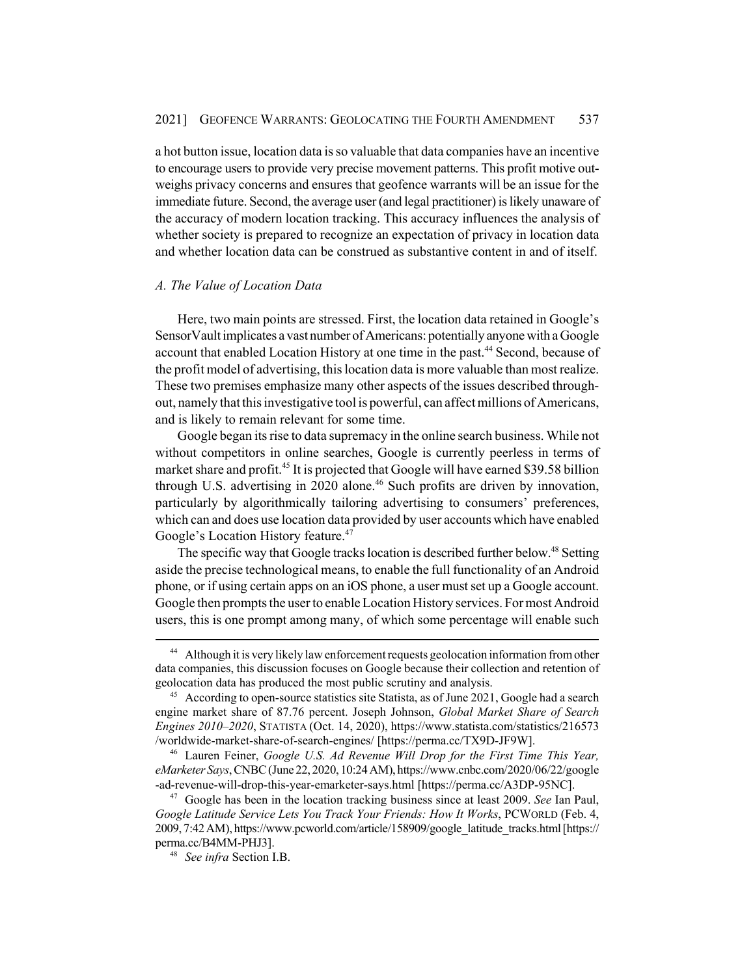a hot button issue, location data is so valuable that data companies have an incentive to encourage users to provide very precise movement patterns. This profit motive outweighs privacy concerns and ensures that geofence warrants will be an issue for the immediate future. Second, the average user (and legal practitioner) is likely unaware of the accuracy of modern location tracking. This accuracy influences the analysis of whether society is prepared to recognize an expectation of privacy in location data and whether location data can be construed as substantive content in and of itself.

### *A. The Value of Location Data*

Here, two main points are stressed. First, the location data retained in Google's SensorVault implicates a vast number of Americans: potentially anyone with a Google account that enabled Location History at one time in the past.<sup>44</sup> Second, because of the profit model of advertising, this location data is more valuable than most realize. These two premises emphasize many other aspects of the issues described throughout, namely that this investigative tool is powerful, can affect millions of Americans, and is likely to remain relevant for some time.

Google began its rise to data supremacy in the online search business. While not without competitors in online searches, Google is currently peerless in terms of market share and profit.<sup>45</sup> It is projected that Google will have earned \$39.58 billion through U.S. advertising in 2020 alone.<sup>46</sup> Such profits are driven by innovation, particularly by algorithmically tailoring advertising to consumers' preferences, which can and does use location data provided by user accounts which have enabled Google's Location History feature.<sup>47</sup>

The specific way that Google tracks location is described further below.<sup>48</sup> Setting aside the precise technological means, to enable the full functionality of an Android phone, or if using certain apps on an iOS phone, a user must set up a Google account. Google then prompts the user to enable Location History services. For most Android users, this is one prompt among many, of which some percentage will enable such

<sup>&</sup>lt;sup>44</sup> Although it is very likely law enforcement requests geolocation information from other data companies, this discussion focuses on Google because their collection and retention of geolocation data has produced the most public scrutiny and analysis.

<sup>&</sup>lt;sup>45</sup> According to open-source statistics site Statista, as of June 2021, Google had a search engine market share of 87.76 percent. Joseph Johnson, *Global Market Share of Search Engines 2010*–*2020*, STATISTA (Oct. 14, 2020), https://www.statista.com/statistics/216573 /worldwide-market-share-of-search-engines/ [https://perma.cc/TX9D-JF9W].

<sup>46</sup> Lauren Feiner, *Google U.S. Ad Revenue Will Drop for the First Time This Year, eMarketer Says*, CNBC (June 22, 2020, 10:24 AM), https://www.cnbc.com/2020/06/22/google -ad-revenue-will-drop-this-year-emarketer-says.html [https://perma.cc/A3DP-95NC].

<sup>47</sup> Google has been in the location tracking business since at least 2009. *See* Ian Paul, *Google Latitude Service Lets You Track Your Friends: How It Works*, PCWORLD (Feb. 4, 2009, 7:42 AM), https://www.pcworld.com/article/158909/google\_latitude\_tracks.html [https:// perma.cc/B4MM-PHJ3].

<sup>48</sup> *See infra* Section I.B.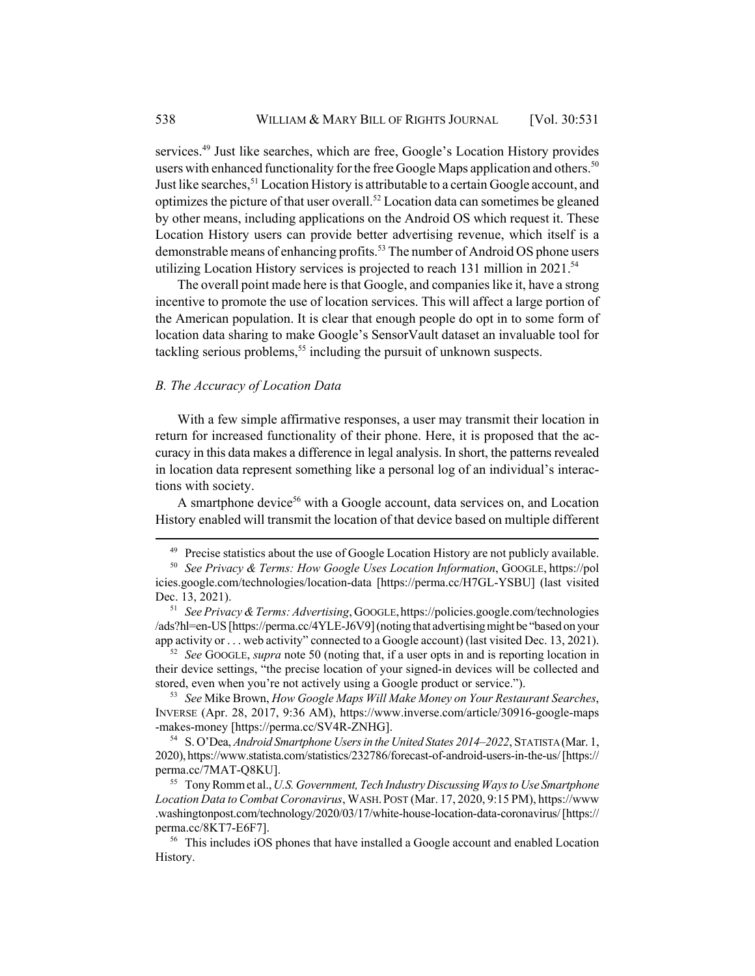services.<sup>49</sup> Just like searches, which are free, Google's Location History provides users with enhanced functionality for the free Google Maps application and others.<sup>50</sup> Just like searches,<sup>51</sup> Location History is attributable to a certain Google account, and optimizes the picture of that user overall.<sup>52</sup> Location data can sometimes be gleaned by other means, including applications on the Android OS which request it. These Location History users can provide better advertising revenue, which itself is a demonstrable means of enhancing profits.<sup>53</sup> The number of Android OS phone users utilizing Location History services is projected to reach 131 million in  $2021$ .<sup>54</sup>

The overall point made here is that Google, and companies like it, have a strong incentive to promote the use of location services. This will affect a large portion of the American population. It is clear that enough people do opt in to some form of location data sharing to make Google's SensorVault dataset an invaluable tool for tackling serious problems,<sup>55</sup> including the pursuit of unknown suspects.

### *B. The Accuracy of Location Data*

With a few simple affirmative responses, a user may transmit their location in return for increased functionality of their phone. Here, it is proposed that the accuracy in this data makes a difference in legal analysis. In short, the patterns revealed in location data represent something like a personal log of an individual's interactions with society.

A smartphone device<sup>56</sup> with a Google account, data services on, and Location History enabled will transmit the location of that device based on multiple different

<sup>52</sup> *See* GOOGLE, *supra* note 50 (noting that, if a user opts in and is reporting location in their device settings, "the precise location of your signed-in devices will be collected and stored, even when you're not actively using a Google product or service.").

<sup>53</sup> *See* Mike Brown, *How Google Maps Will Make Money on Your Restaurant Searches*, INVERSE (Apr. 28, 2017, 9:36 AM), https://www.inverse.com/article/30916-google-maps -makes-money [https://perma.cc/SV4R-ZNHG].

<sup>54</sup> S. O'Dea, *Android Smartphone Users in the United States 2014–2022*, STATISTA (Mar. 1, 2020), https://www.statista.com/statistics/232786/forecast-of-android-users-in-the-us/ [https:// perma.cc/7MAT-Q8KU].

<sup>55</sup> Tony Romm et al., *U.S. Government, Tech Industry Discussing Ways to Use Smartphone Location Data to Combat Coronavirus*, WASH.POST (Mar. 17, 2020, 9:15 PM), https://www .washingtonpost.com/technology/2020/03/17/white-house-location-data-coronavirus/ [https:// perma.cc/8KT7-E6F7].

 $49$  Precise statistics about the use of Google Location History are not publicly available.

<sup>50</sup> *See Privacy & Terms: How Google Uses Location Information*, GOOGLE, https://pol icies.google.com/technologies/location-data [https://perma.cc/H7GL-YSBU] (last visited Dec. 13, 2021).

<sup>51</sup> *See Privacy & Terms: Advertising*, GOOGLE,https://policies.google.com/technologies /ads?hl=en-US [https://perma.cc/4YLE-J6V9] (noting that advertising might be "based on your app activity or . . . web activity" connected to a Google account) (last visited Dec. 13, 2021).

<sup>&</sup>lt;sup>56</sup> This includes iOS phones that have installed a Google account and enabled Location History.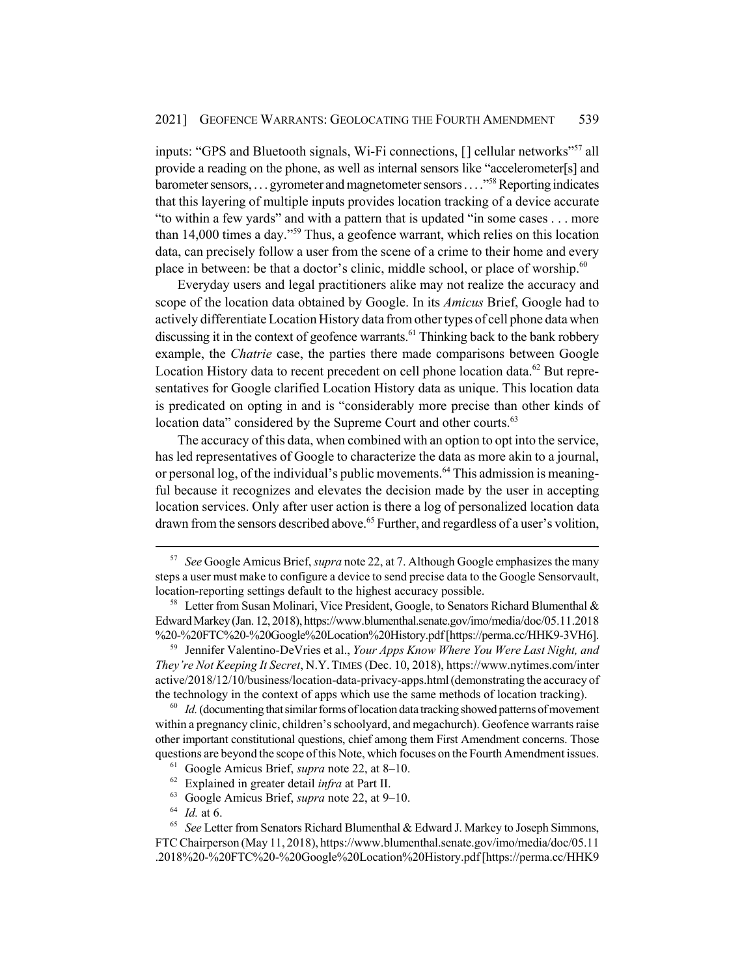inputs: "GPS and Bluetooth signals, Wi-Fi connections, [] cellular networks"<sup>57</sup> all provide a reading on the phone, as well as internal sensors like "accelerometer[s] and barometer sensors, . . . gyrometer and magnetometer sensors . . . ."58 Reporting indicates that this layering of multiple inputs provides location tracking of a device accurate "to within a few yards" and with a pattern that is updated "in some cases . . . more than 14,000 times a day."59 Thus, a geofence warrant, which relies on this location data, can precisely follow a user from the scene of a crime to their home and every place in between: be that a doctor's clinic, middle school, or place of worship.<sup>60</sup>

Everyday users and legal practitioners alike may not realize the accuracy and scope of the location data obtained by Google. In its *Amicus* Brief, Google had to actively differentiate Location History data from other types of cell phone data when discussing it in the context of geofence warrants.<sup>61</sup> Thinking back to the bank robbery example, the *Chatrie* case, the parties there made comparisons between Google Location History data to recent precedent on cell phone location data.<sup>62</sup> But representatives for Google clarified Location History data as unique. This location data is predicated on opting in and is "considerably more precise than other kinds of location data" considered by the Supreme Court and other courts.<sup>63</sup>

The accuracy of this data, when combined with an option to opt into the service, has led representatives of Google to characterize the data as more akin to a journal, or personal log, of the individual's public movements.<sup>64</sup> This admission is meaningful because it recognizes and elevates the decision made by the user in accepting location services. Only after user action is there a log of personalized location data drawn from the sensors described above.<sup>65</sup> Further, and regardless of a user's volition,

<sup>59</sup> Jennifer Valentino-DeVries et al., *Your Apps Know Where You Were Last Night, and They're Not Keeping It Secret*, N.Y.TIMES (Dec. 10, 2018), https://www.nytimes.com/inter active/2018/12/10/business/location-data-privacy-apps.html (demonstrating the accuracy of the technology in the context of apps which use the same methods of location tracking).

<sup>60</sup> *Id.* (documenting that similar forms of location data tracking showed patterns of movement within a pregnancy clinic, children's schoolyard, and megachurch). Geofence warrants raise other important constitutional questions, chief among them First Amendment concerns. Those questions are beyond the scope of this Note, which focuses on the Fourth Amendment issues.

<sup>62</sup> Explained in greater detail *infra* at Part II.

<sup>64</sup> *Id.* at 6.

<sup>57</sup> *See* Google Amicus Brief, *supra* note 22, at 7. Although Google emphasizes the many steps a user must make to configure a device to send precise data to the Google Sensorvault, location-reporting settings default to the highest accuracy possible.

<sup>&</sup>lt;sup>58</sup> Letter from Susan Molinari, Vice President, Google, to Senators Richard Blumenthal & Edward Markey (Jan. 12, 2018), https://www.blumenthal.senate.gov/imo/media/doc/05.11.2018 %20-%20FTC%20-%20Google%20Location%20History.pdf [https://perma.cc/HHK9-3VH6].

<sup>61</sup> Google Amicus Brief, *supra* note 22, at 8–10.

<sup>63</sup> Google Amicus Brief, *supra* note 22, at 9–10.

<sup>65</sup> *See* Letter from Senators Richard Blumenthal & Edward J. Markey to Joseph Simmons, FTC Chairperson (May 11, 2018), https://www.blumenthal.senate.gov/imo/media/doc/05.11 .2018%20-%20FTC%20-%20Google%20Location%20History.pdf [https://perma.cc/HHK9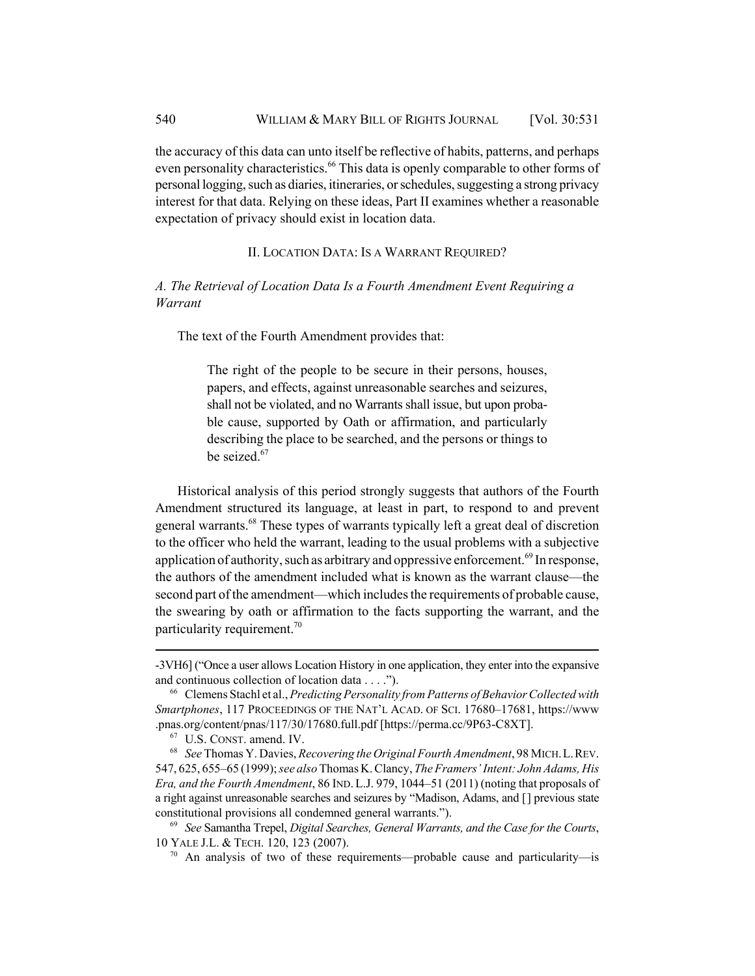the accuracy of this data can unto itself be reflective of habits, patterns, and perhaps even personality characteristics.<sup>66</sup> This data is openly comparable to other forms of personal logging, such as diaries, itineraries, or schedules, suggesting a strong privacy interest for that data. Relying on these ideas, Part II examines whether a reasonable expectation of privacy should exist in location data.

## II. LOCATION DATA: IS A WARRANT REQUIRED?

## *A. The Retrieval of Location Data Is a Fourth Amendment Event Requiring a Warrant*

The text of the Fourth Amendment provides that:

The right of the people to be secure in their persons, houses, papers, and effects, against unreasonable searches and seizures, shall not be violated, and no Warrants shall issue, but upon probable cause, supported by Oath or affirmation, and particularly describing the place to be searched, and the persons or things to be seized.<sup>67</sup>

Historical analysis of this period strongly suggests that authors of the Fourth Amendment structured its language, at least in part, to respond to and prevent general warrants.68 These types of warrants typically left a great deal of discretion to the officer who held the warrant, leading to the usual problems with a subjective application of authority, such as arbitrary and oppressive enforcement.<sup>69</sup> In response, the authors of the amendment included what is known as the warrant clause—the second part of the amendment—which includes the requirements of probable cause, the swearing by oath or affirmation to the facts supporting the warrant, and the particularity requirement.<sup>70</sup>

<sup>-3</sup>VH6] ("Once a user allows Location History in one application, they enter into the expansive and continuous collection of location data . . . .").

<sup>66</sup> Clemens Stachl et al., *Predicting Personality from Patterns of Behavior Collected with Smartphones*, 117 PROCEEDINGS OF THE NAT'L ACAD. OF SCI. 17680–17681, https://www .pnas.org/content/pnas/117/30/17680.full.pdf [https://perma.cc/9P63-C8XT].

<sup>67</sup> U.S. CONST. amend. IV.

<sup>68</sup> *See* Thomas Y. Davies, *Recovering the Original Fourth Amendment*, 98 MICH.L.REV. 547, 625, 655–65 (1999); *see also* Thomas K. Clancy, *The Framers' Intent: John Adams, His Era, and the Fourth Amendment*, 86 IND.L.J. 979, 1044–51 (2011) (noting that proposals of a right against unreasonable searches and seizures by "Madison, Adams, and [] previous state constitutional provisions all condemned general warrants.").

<sup>69</sup> *See* Samantha Trepel, *Digital Searches, General Warrants, and the Case for the Courts*, 10 YALE J.L. & TECH. 120, 123 (2007).

 $70$  An analysis of two of these requirements—probable cause and particularity—is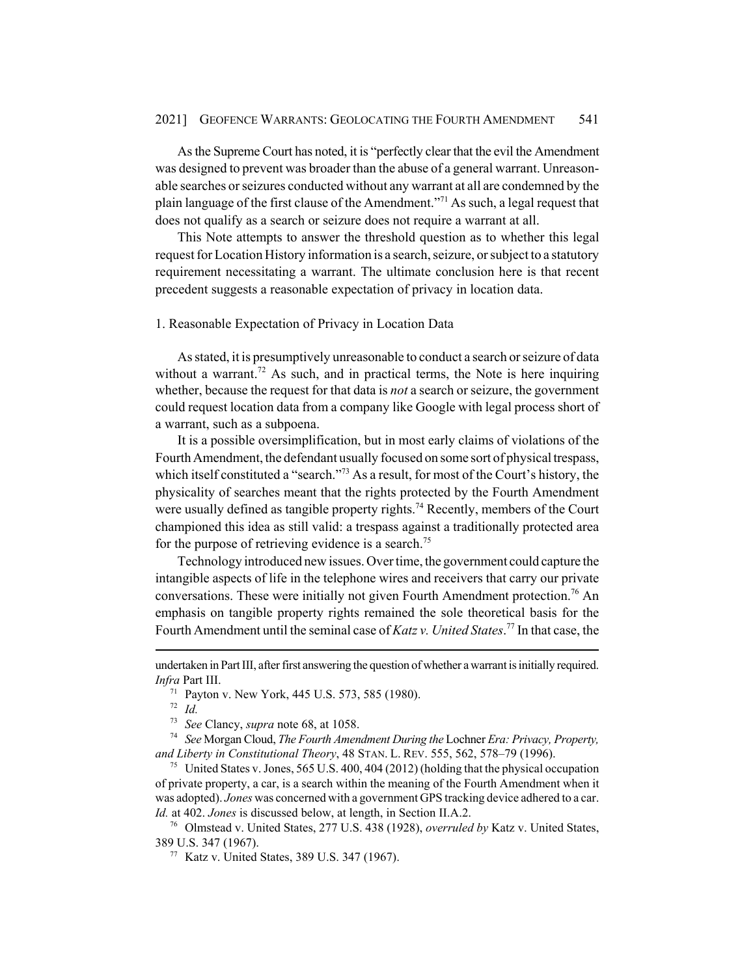As the Supreme Court has noted, it is "perfectly clear that the evil the Amendment was designed to prevent was broader than the abuse of a general warrant. Unreasonable searches or seizures conducted without any warrant at all are condemned by the plain language of the first clause of the Amendment."71 As such, a legal request that does not qualify as a search or seizure does not require a warrant at all.

This Note attempts to answer the threshold question as to whether this legal request for Location History information is a search, seizure, or subject to a statutory requirement necessitating a warrant. The ultimate conclusion here is that recent precedent suggests a reasonable expectation of privacy in location data.

### 1. Reasonable Expectation of Privacy in Location Data

As stated, it is presumptively unreasonable to conduct a search or seizure of data without a warrant.<sup>72</sup> As such, and in practical terms, the Note is here inquiring whether, because the request for that data is *not* a search or seizure, the government could request location data from a company like Google with legal process short of a warrant, such as a subpoena.

It is a possible oversimplification, but in most early claims of violations of the Fourth Amendment, the defendant usually focused on some sort of physical trespass, which itself constituted a "search."<sup>73</sup> As a result, for most of the Court's history, the physicality of searches meant that the rights protected by the Fourth Amendment were usually defined as tangible property rights.<sup>74</sup> Recently, members of the Court championed this idea as still valid: a trespass against a traditionally protected area for the purpose of retrieving evidence is a search.<sup>75</sup>

Technology introduced new issues. Over time, the government could capture the intangible aspects of life in the telephone wires and receivers that carry our private conversations. These were initially not given Fourth Amendment protection.<sup>76</sup> An emphasis on tangible property rights remained the sole theoretical basis for the Fourth Amendment until the seminal case of *Katz v. United States*. 77 In that case, the

<sup>72</sup> *Id.*

undertaken in Part III, after first answering the question of whether a warrant is initially required. *Infra* Part III.

<sup>71</sup> Payton v. New York, 445 U.S. 573, 585 (1980).

<sup>73</sup> *See* Clancy, *supra* note 68, at 1058.

<sup>74</sup> *See* Morgan Cloud, *The Fourth Amendment During the* Lochner *Era: Privacy, Property, and Liberty in Constitutional Theory*, 48 STAN. L. REV. 555, 562, 578–79 (1996).

<sup>&</sup>lt;sup>75</sup> United States v. Jones, 565 U.S. 400, 404 (2012) (holding that the physical occupation of private property, a car, is a search within the meaning of the Fourth Amendment when it was adopted). *Jones* was concerned with a government GPS tracking device adhered to a car. *Id.* at 402. *Jones* is discussed below, at length, in Section II.A.2.

<sup>76</sup> Olmstead v. United States, 277 U.S. 438 (1928), *overruled by* Katz v. United States, 389 U.S. 347 (1967).

<sup>77</sup> Katz v. United States, 389 U.S. 347 (1967).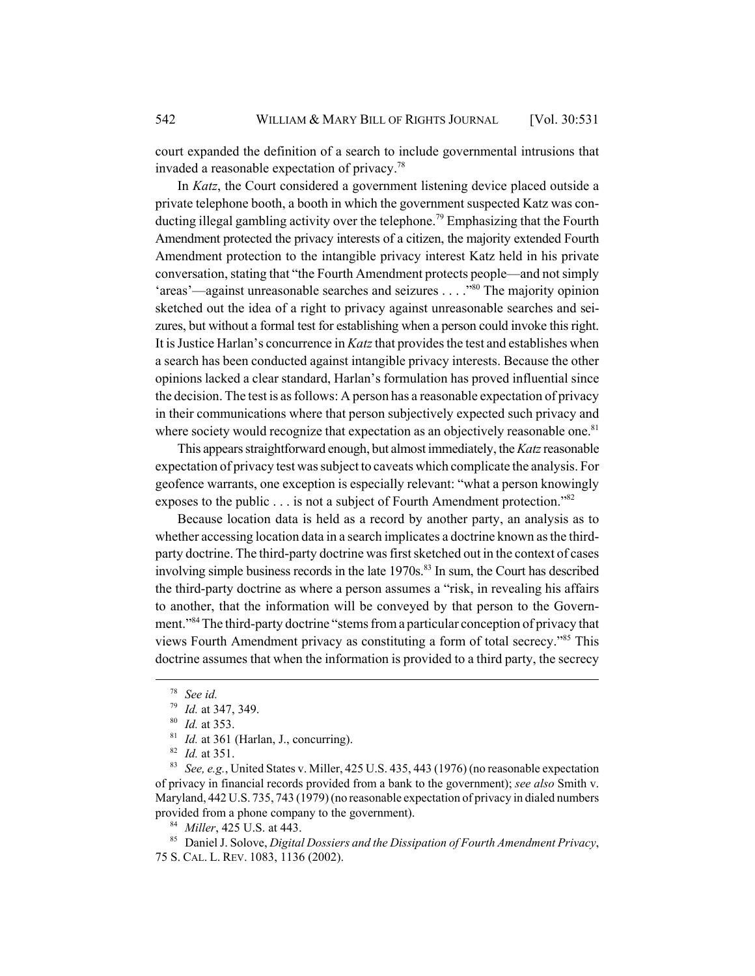court expanded the definition of a search to include governmental intrusions that invaded a reasonable expectation of privacy.<sup>78</sup>

In *Katz*, the Court considered a government listening device placed outside a private telephone booth, a booth in which the government suspected Katz was conducting illegal gambling activity over the telephone.<sup>79</sup> Emphasizing that the Fourth Amendment protected the privacy interests of a citizen, the majority extended Fourth Amendment protection to the intangible privacy interest Katz held in his private conversation, stating that "the Fourth Amendment protects people—and not simply 'areas'—against unreasonable searches and seizures . . . ."80 The majority opinion sketched out the idea of a right to privacy against unreasonable searches and seizures, but without a formal test for establishing when a person could invoke this right. It is Justice Harlan's concurrence in *Katz* that provides the test and establishes when a search has been conducted against intangible privacy interests. Because the other opinions lacked a clear standard, Harlan's formulation has proved influential since the decision. The test is as follows: A person has a reasonable expectation of privacy in their communications where that person subjectively expected such privacy and where society would recognize that expectation as an objectively reasonable one.<sup>81</sup>

This appears straightforward enough, but almost immediately, the *Katz* reasonable expectation of privacy test was subject to caveats which complicate the analysis. For geofence warrants, one exception is especially relevant: "what a person knowingly exposes to the public . . . is not a subject of Fourth Amendment protection."<sup>82</sup>

Because location data is held as a record by another party, an analysis as to whether accessing location data in a search implicates a doctrine known as the thirdparty doctrine. The third-party doctrine was first sketched out in the context of cases involving simple business records in the late  $1970s$ .<sup>83</sup> In sum, the Court has described the third-party doctrine as where a person assumes a "risk, in revealing his affairs to another, that the information will be conveyed by that person to the Government."<sup>84</sup> The third-party doctrine "stems from a particular conception of privacy that views Fourth Amendment privacy as constituting a form of total secrecy."85 This doctrine assumes that when the information is provided to a third party, the secrecy

<sup>83</sup> *See, e.g.*, United States v. Miller, 425 U.S. 435, 443 (1976) (no reasonable expectation of privacy in financial records provided from a bank to the government); *see also* Smith v. Maryland, 442 U.S. 735, 743 (1979) (no reasonable expectation of privacy in dialed numbers provided from a phone company to the government).

<sup>85</sup> Daniel J. Solove, *Digital Dossiers and the Dissipation of Fourth Amendment Privacy*, 75 S. CAL. L. REV. 1083, 1136 (2002).

<sup>78</sup> *See id.*

<sup>79</sup> *Id.* at 347, 349.

<sup>80</sup> *Id.* at 353.

<sup>&</sup>lt;sup>81</sup> *Id.* at 361 (Harlan, J., concurring).

<sup>82</sup> *Id.* at 351.

<sup>84</sup> *Miller*, 425 U.S. at 443.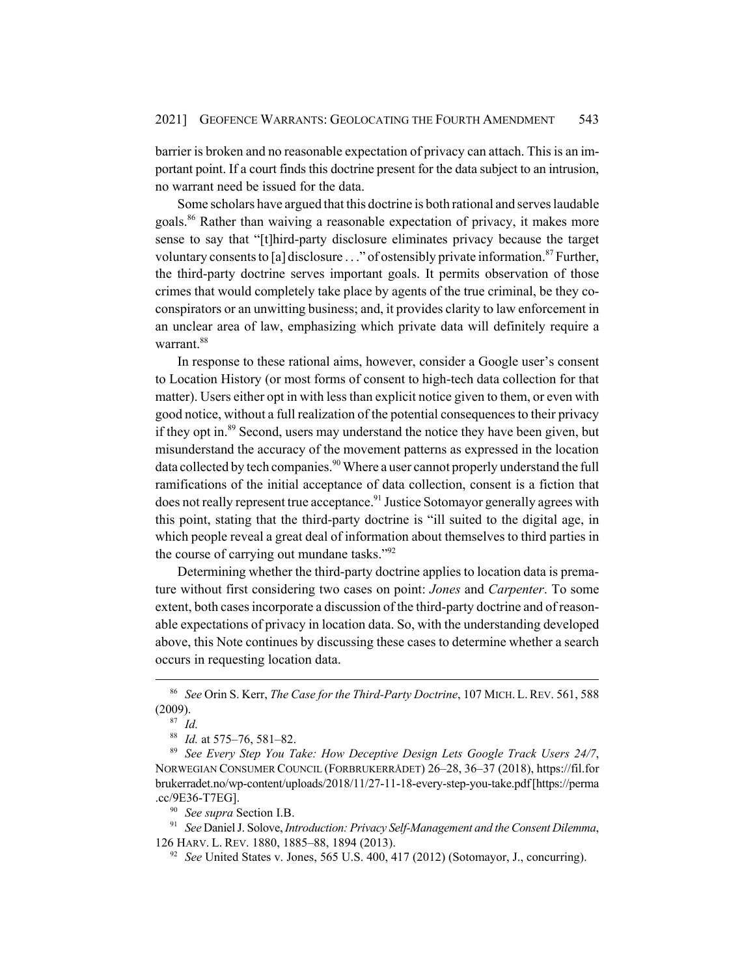barrier is broken and no reasonable expectation of privacy can attach. This is an important point. If a court finds this doctrine present for the data subject to an intrusion, no warrant need be issued for the data.

Some scholars have argued that this doctrine is both rational and serves laudable goals.86 Rather than waiving a reasonable expectation of privacy, it makes more sense to say that "[t]hird-party disclosure eliminates privacy because the target voluntary consents to [a] disclosure  $\ldots$ " of ostensibly private information.<sup>87</sup> Further, the third-party doctrine serves important goals. It permits observation of those crimes that would completely take place by agents of the true criminal, be they coconspirators or an unwitting business; and, it provides clarity to law enforcement in an unclear area of law, emphasizing which private data will definitely require a warrant.<sup>88</sup>

In response to these rational aims, however, consider a Google user's consent to Location History (or most forms of consent to high-tech data collection for that matter). Users either opt in with less than explicit notice given to them, or even with good notice, without a full realization of the potential consequences to their privacy if they opt in.<sup>89</sup> Second, users may understand the notice they have been given, but misunderstand the accuracy of the movement patterns as expressed in the location data collected by tech companies.<sup>90</sup> Where a user cannot properly understand the full ramifications of the initial acceptance of data collection, consent is a fiction that does not really represent true acceptance.<sup>91</sup> Justice Sotomayor generally agrees with this point, stating that the third-party doctrine is "ill suited to the digital age, in which people reveal a great deal of information about themselves to third parties in the course of carrying out mundane tasks."<sup>92</sup>

Determining whether the third-party doctrine applies to location data is premature without first considering two cases on point: *Jones* and *Carpenter*. To some extent, both cases incorporate a discussion of the third-party doctrine and of reasonable expectations of privacy in location data. So, with the understanding developed above, this Note continues by discussing these cases to determine whether a search occurs in requesting location data.

<sup>90</sup> *See supra* Section I.B.

<sup>86</sup> *See* Orin S. Kerr, *The Case for the Third-Party Doctrine*, 107 MICH. L.REV. 561, 588 (2009).

<sup>87</sup> *Id.*

<sup>88</sup> *Id.* at 575–76, 581–82.

<sup>89</sup> *See Every Step You Take: How Deceptive Design Lets Google Track Users 24/7*, NORWEGIAN CONSUMER COUNCIL (FORBRUKERRÅDET) 26–28, 36–37 (2018), https://fil.for brukerradet.no/wp-content/uploads/2018/11/27-11-18-every-step-you-take.pdf [https://perma .cc/9E36-T7EG].

<sup>91</sup> *See* Daniel J. Solove, *Introduction: Privacy Self-Management and the Consent Dilemma*, 126 HARV. L. REV. 1880, 1885–88, 1894 (2013).

<sup>&</sup>lt;sup>92</sup> *See* United States v. Jones, 565 U.S. 400, 417 (2012) (Sotomayor, J., concurring).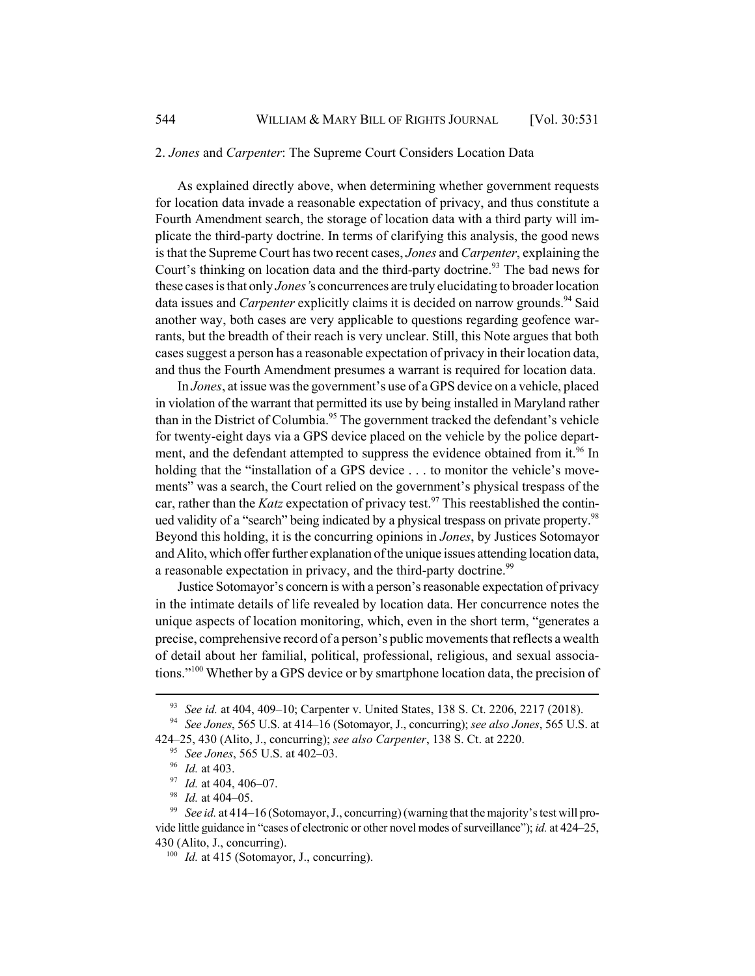#### 2. *Jones* and *Carpenter*: The Supreme Court Considers Location Data

As explained directly above, when determining whether government requests for location data invade a reasonable expectation of privacy, and thus constitute a Fourth Amendment search, the storage of location data with a third party will implicate the third-party doctrine. In terms of clarifying this analysis, the good news is that the Supreme Court has two recent cases, *Jones* and *Carpenter*, explaining the Court's thinking on location data and the third-party doctrine.<sup>93</sup> The bad news for these cases is that only *Jones'*s concurrences are truly elucidating to broader location data issues and *Carpenter* explicitly claims it is decided on narrow grounds.<sup>94</sup> Said another way, both cases are very applicable to questions regarding geofence warrants, but the breadth of their reach is very unclear. Still, this Note argues that both cases suggest a person has a reasonable expectation of privacy in their location data, and thus the Fourth Amendment presumes a warrant is required for location data.

In *Jones*, at issue was the government's use of a GPS device on a vehicle, placed in violation of the warrant that permitted its use by being installed in Maryland rather than in the District of Columbia.<sup>95</sup> The government tracked the defendant's vehicle for twenty-eight days via a GPS device placed on the vehicle by the police department, and the defendant attempted to suppress the evidence obtained from it.<sup>96</sup> In holding that the "installation of a GPS device . . . to monitor the vehicle's movements" was a search, the Court relied on the government's physical trespass of the car, rather than the *Katz* expectation of privacy test.<sup>97</sup> This reestablished the continued validity of a "search" being indicated by a physical trespass on private property.<sup>98</sup> Beyond this holding, it is the concurring opinions in *Jones*, by Justices Sotomayor and Alito, which offer further explanation of the unique issues attending location data, a reasonable expectation in privacy, and the third-party doctrine.<sup>99</sup>

Justice Sotomayor's concern is with a person's reasonable expectation of privacy in the intimate details of life revealed by location data. Her concurrence notes the unique aspects of location monitoring, which, even in the short term, "generates a precise, comprehensive record of a person's public movements that reflects a wealth of detail about her familial, political, professional, religious, and sexual associations."100 Whether by a GPS device or by smartphone location data, the precision of

<sup>93</sup> *See id.* at 404, 409–10; Carpenter v. United States, 138 S. Ct. 2206, 2217 (2018).

<sup>94</sup> *See Jones*, 565 U.S. at 414–16 (Sotomayor, J., concurring); *see also Jones*, 565 U.S. at 424–25, 430 (Alito, J., concurring); *see also Carpenter*, 138 S. Ct. at 2220.

<sup>95</sup> *See Jones*, 565 U.S. at 402–03.

<sup>96</sup> *Id.* at 403.

<sup>97</sup> *Id.* at 404, 406–07.

<sup>98</sup> *Id.* at 404–05.

<sup>99</sup> *See id.* at 414–16 (Sotomayor, J., concurring) (warning that the majority's test will provide little guidance in "cases of electronic or other novel modes of surveillance"); *id.* at 424–25, 430 (Alito, J., concurring).

<sup>&</sup>lt;sup>100</sup> *Id.* at 415 (Sotomayor, J., concurring).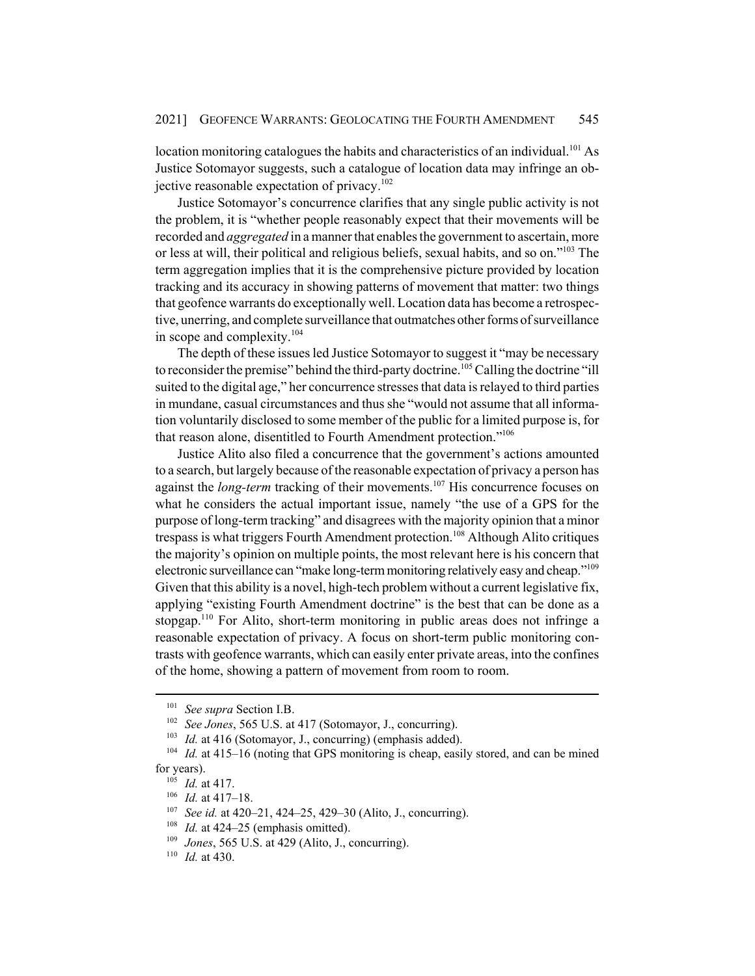location monitoring catalogues the habits and characteristics of an individual.<sup>101</sup> As Justice Sotomayor suggests, such a catalogue of location data may infringe an objective reasonable expectation of privacy.<sup>102</sup>

Justice Sotomayor's concurrence clarifies that any single public activity is not the problem, it is "whether people reasonably expect that their movements will be recorded and *aggregated* in a manner that enables the government to ascertain, more or less at will, their political and religious beliefs, sexual habits, and so on."103 The term aggregation implies that it is the comprehensive picture provided by location tracking and its accuracy in showing patterns of movement that matter: two things that geofence warrants do exceptionally well. Location data has become a retrospective, unerring, and complete surveillance that outmatches other forms of surveillance in scope and complexity. $104$ 

The depth of these issues led Justice Sotomayor to suggest it "may be necessary to reconsider the premise" behind the third-party doctrine.<sup>105</sup> Calling the doctrine "ill suited to the digital age," her concurrence stresses that data is relayed to third parties in mundane, casual circumstances and thus she "would not assume that all information voluntarily disclosed to some member of the public for a limited purpose is, for that reason alone, disentitled to Fourth Amendment protection."106

Justice Alito also filed a concurrence that the government's actions amounted to a search, but largely because of the reasonable expectation of privacy a person has against the *long-term* tracking of their movements.<sup>107</sup> His concurrence focuses on what he considers the actual important issue, namely "the use of a GPS for the purpose of long-term tracking" and disagrees with the majority opinion that a minor trespass is what triggers Fourth Amendment protection.<sup>108</sup> Although Alito critiques the majority's opinion on multiple points, the most relevant here is his concern that electronic surveillance can "make long-term monitoring relatively easy and cheap."109 Given that this ability is a novel, high-tech problem without a current legislative fix, applying "existing Fourth Amendment doctrine" is the best that can be done as a stopgap.<sup>110</sup> For Alito, short-term monitoring in public areas does not infringe a reasonable expectation of privacy. A focus on short-term public monitoring contrasts with geofence warrants, which can easily enter private areas, into the confines of the home, showing a pattern of movement from room to room.

<sup>101</sup> *See supra* Section I.B.

<sup>102</sup> *See Jones*, 565 U.S. at 417 (Sotomayor, J., concurring).

<sup>&</sup>lt;sup>103</sup> *Id.* at 416 (Sotomayor, J., concurring) (emphasis added).

<sup>104</sup> *Id.* at 415–16 (noting that GPS monitoring is cheap, easily stored, and can be mined for years).

<sup>105</sup> *Id.* at 417.

<sup>106</sup> *Id.* at 417–18.

<sup>107</sup> *See id.* at 420–21, 424–25, 429–30 (Alito, J., concurring).

<sup>&</sup>lt;sup>108</sup> *Id.* at 424–25 (emphasis omitted).

<sup>109</sup> *Jones*, 565 U.S. at 429 (Alito, J., concurring).

<sup>110</sup> *Id.* at 430.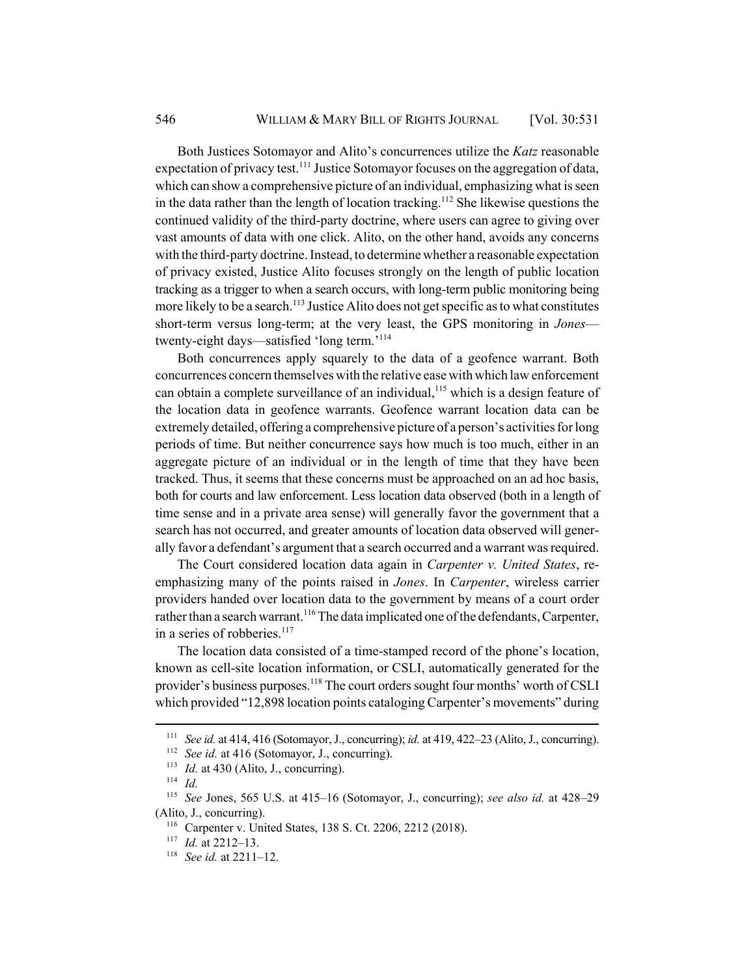Both Justices Sotomayor and Alito's concurrences utilize the *Katz* reasonable expectation of privacy test.<sup>111</sup> Justice Sotomayor focuses on the aggregation of data, which can show a comprehensive picture of an individual, emphasizing what is seen in the data rather than the length of location tracking.<sup>112</sup> She likewise questions the continued validity of the third-party doctrine, where users can agree to giving over vast amounts of data with one click. Alito, on the other hand, avoids any concerns with the third-party doctrine. Instead, to determine whether a reasonable expectation of privacy existed, Justice Alito focuses strongly on the length of public location tracking as a trigger to when a search occurs, with long-term public monitoring being more likely to be a search.<sup>113</sup> Justice Alito does not get specific as to what constitutes short-term versus long-term; at the very least, the GPS monitoring in *Jones* twenty-eight days—satisfied 'long term.'<sup>114</sup>

Both concurrences apply squarely to the data of a geofence warrant. Both concurrences concern themselves with the relative ease with which law enforcement can obtain a complete surveillance of an individual,<sup>115</sup> which is a design feature of the location data in geofence warrants. Geofence warrant location data can be extremely detailed, offering a comprehensive picture of a person's activities for long periods of time. But neither concurrence says how much is too much, either in an aggregate picture of an individual or in the length of time that they have been tracked. Thus, it seems that these concerns must be approached on an ad hoc basis, both for courts and law enforcement. Less location data observed (both in a length of time sense and in a private area sense) will generally favor the government that a search has not occurred, and greater amounts of location data observed will generally favor a defendant's argument that a search occurred and a warrant was required.

The Court considered location data again in *Carpenter v. United States*, reemphasizing many of the points raised in *Jones*. In *Carpenter*, wireless carrier providers handed over location data to the government by means of a court order rather than a search warrant.<sup>116</sup> The data implicated one of the defendants, Carpenter, in a series of robberies. $117$ 

The location data consisted of a time-stamped record of the phone's location, known as cell-site location information, or CSLI, automatically generated for the provider's business purposes.<sup>118</sup> The court orders sought four months' worth of CSLI which provided "12,898 location points cataloging Carpenter's movements" during

<sup>111</sup> *See id.* at 414, 416 (Sotomayor, J., concurring); *id.* at 419, 422–23 (Alito, J., concurring).

<sup>&</sup>lt;sup>112</sup> *See id.* at 416 (Sotomayor, J., concurring).

<sup>&</sup>lt;sup>113</sup> *Id.* at 430 (Alito, J., concurring).

<sup>114</sup> *Id.*

<sup>115</sup> *See* Jones, 565 U.S. at 415–16 (Sotomayor, J., concurring); *see also id.* at 428–29 (Alito, J., concurring).

<sup>116</sup> Carpenter v. United States, 138 S. Ct. 2206, 2212 (2018).

<sup>117</sup> *Id.* at 2212–13.

<sup>118</sup> *See id.* at 2211–12.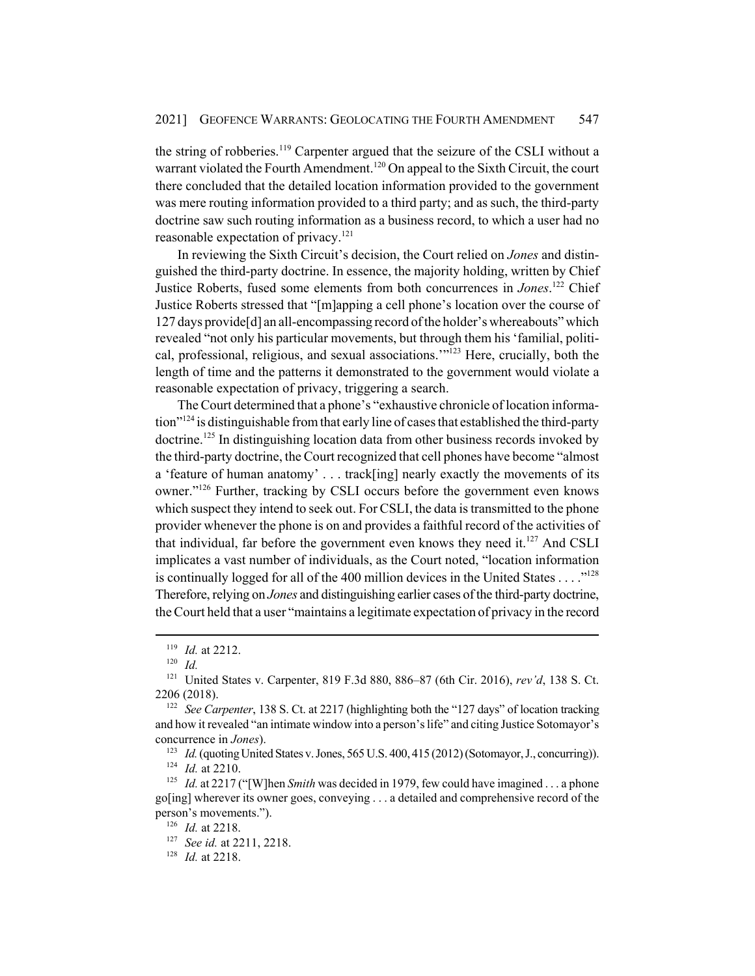the string of robberies.<sup>119</sup> Carpenter argued that the seizure of the CSLI without a warrant violated the Fourth Amendment.<sup>120</sup> On appeal to the Sixth Circuit, the court there concluded that the detailed location information provided to the government was mere routing information provided to a third party; and as such, the third-party doctrine saw such routing information as a business record, to which a user had no reasonable expectation of privacy.<sup>121</sup>

In reviewing the Sixth Circuit's decision, the Court relied on *Jones* and distinguished the third-party doctrine. In essence, the majority holding, written by Chief Justice Roberts, fused some elements from both concurrences in *Jones*. 122 Chief Justice Roberts stressed that "[m]apping a cell phone's location over the course of 127 days provide[d] an all-encompassing record of the holder's whereabouts" which revealed "not only his particular movements, but through them his 'familial, political, professional, religious, and sexual associations."<sup>123</sup> Here, crucially, both the length of time and the patterns it demonstrated to the government would violate a reasonable expectation of privacy, triggering a search.

The Court determined that a phone's "exhaustive chronicle of location information"124 is distinguishable from that early line of cases that established the third-party doctrine.125 In distinguishing location data from other business records invoked by the third-party doctrine, the Court recognized that cell phones have become "almost a 'feature of human anatomy' . . . track[ing] nearly exactly the movements of its owner."<sup>126</sup> Further, tracking by CSLI occurs before the government even knows which suspect they intend to seek out. For CSLI, the data is transmitted to the phone provider whenever the phone is on and provides a faithful record of the activities of that individual, far before the government even knows they need it. $^{127}$  And CSLI implicates a vast number of individuals, as the Court noted, "location information is continually logged for all of the 400 million devices in the United States  $\dots$ ."<sup>128</sup> Therefore, relying on *Jones* and distinguishing earlier cases of the third-party doctrine, the Court held that a user "maintains a legitimate expectation of privacy in the record

<sup>123</sup> *Id.* (quoting United States v. Jones, 565 U.S. 400, 415 (2012) (Sotomayor, J., concurring)).

<sup>119</sup> *Id.* at 2212.

<sup>120</sup> *Id.*

<sup>121</sup> United States v. Carpenter, 819 F.3d 880, 886–87 (6th Cir. 2016), *rev'd*, 138 S. Ct. 2206 (2018).

<sup>&</sup>lt;sup>122</sup> *See Carpenter*, 138 S. Ct. at 2217 (highlighting both the "127 days" of location tracking and how it revealed "an intimate window into a person's life" and citing Justice Sotomayor's concurrence in *Jones*).

<sup>124</sup> *Id.* at 2210.

<sup>&</sup>lt;sup>125</sup> *Id.* at 2217 ("[W]hen *Smith* was decided in 1979, few could have imagined ... a phone go[ing] wherever its owner goes, conveying . . . a detailed and comprehensive record of the person's movements.").

<sup>126</sup> *Id.* at 2218.

<sup>127</sup> *See id.* at 2211, 2218.

<sup>128</sup> *Id.* at 2218.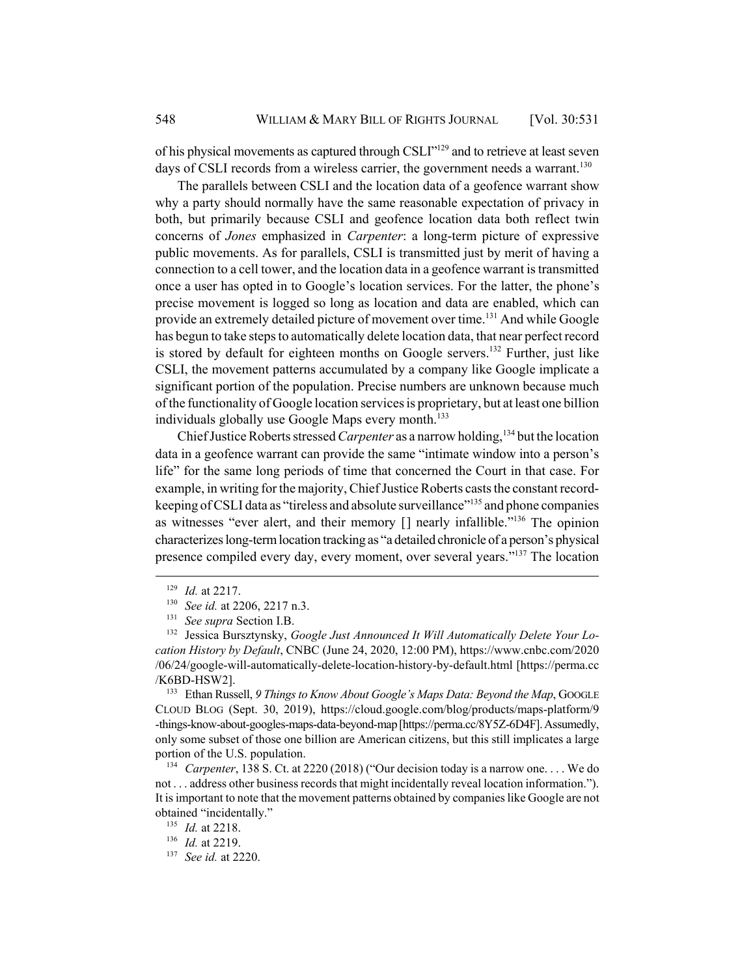of his physical movements as captured through CSLI"129 and to retrieve at least seven days of CSLI records from a wireless carrier, the government needs a warrant.<sup>130</sup>

The parallels between CSLI and the location data of a geofence warrant show why a party should normally have the same reasonable expectation of privacy in both, but primarily because CSLI and geofence location data both reflect twin concerns of *Jones* emphasized in *Carpenter*: a long-term picture of expressive public movements. As for parallels, CSLI is transmitted just by merit of having a connection to a cell tower, and the location data in a geofence warrant is transmitted once a user has opted in to Google's location services. For the latter, the phone's precise movement is logged so long as location and data are enabled, which can provide an extremely detailed picture of movement over time.<sup>131</sup> And while Google has begun to take steps to automatically delete location data, that near perfect record is stored by default for eighteen months on Google servers.<sup>132</sup> Further, just like CSLI, the movement patterns accumulated by a company like Google implicate a significant portion of the population. Precise numbers are unknown because much of the functionality of Google location services is proprietary, but at least one billion individuals globally use Google Maps every month.<sup>133</sup>

Chief Justice Roberts stressed *Carpenter* as a narrow holding,<sup>134</sup> but the location data in a geofence warrant can provide the same "intimate window into a person's life" for the same long periods of time that concerned the Court in that case. For example, in writing for the majority, Chief Justice Roberts casts the constant recordkeeping of CSLI data as "tireless and absolute surveillance"<sup>135</sup> and phone companies as witnesses "ever alert, and their memory [] nearly infallible."136 The opinion characterizes long-term location tracking as "a detailed chronicle of a person's physical presence compiled every day, every moment, over several years."<sup>137</sup> The location

<sup>133</sup> Ethan Russell, 9 Things to Know About Google's Maps Data: Beyond the Map, GOOGLE CLOUD BLOG (Sept. 30, 2019), https://cloud.google.com/blog/products/maps-platform/9 -things-know-about-googles-maps-data-beyond-map [https://perma.cc/8Y5Z-6D4F]. Assumedly, only some subset of those one billion are American citizens, but this still implicates a large portion of the U.S. population.

<sup>134</sup> *Carpenter*, 138 S. Ct. at 2220 (2018) ("Our decision today is a narrow one. . . . We do not . . . address other business records that might incidentally reveal location information."). It is important to note that the movement patterns obtained by companies like Google are not obtained "incidentally."

<sup>135</sup> *Id.* at 2218.

<sup>129</sup> *Id.* at 2217.

<sup>130</sup> *See id.* at 2206, 2217 n.3.

<sup>131</sup> *See supra* Section I.B.

<sup>&</sup>lt;sup>132</sup> Jessica Bursztynsky, *Google Just Announced It Will Automatically Delete Your Location History by Default*, CNBC (June 24, 2020, 12:00 PM), https://www.cnbc.com/2020 /06/24/google-will-automatically-delete-location-history-by-default.html [https://perma.cc /K6BD-HSW2].

<sup>136</sup> *Id.* at 2219.

<sup>137</sup> *See id.* at 2220.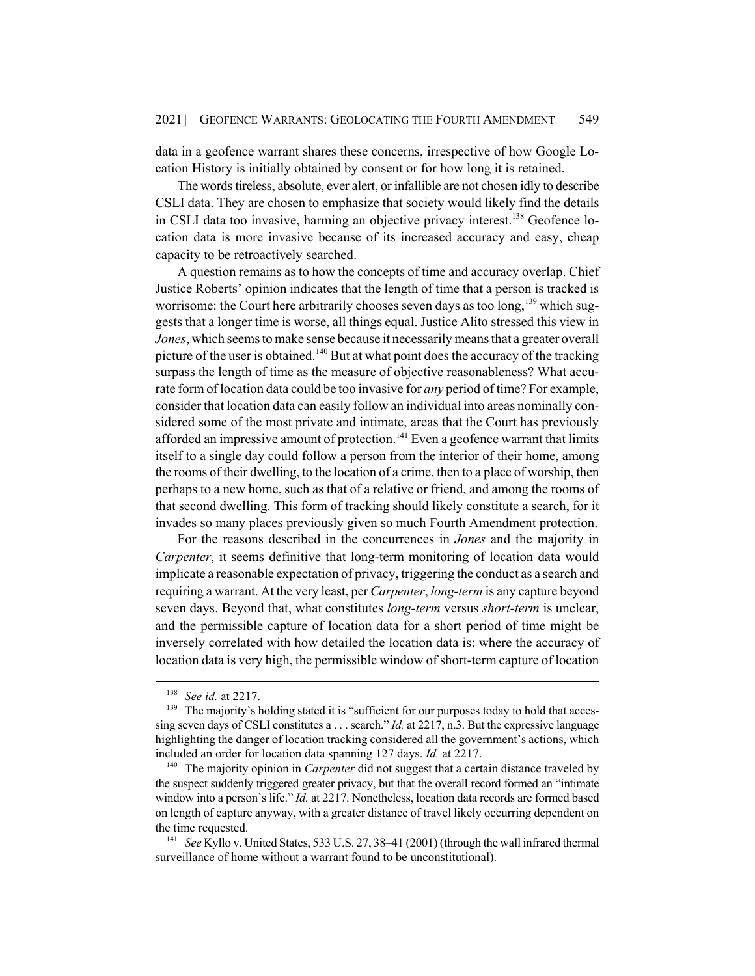data in a geofence warrant shares these concerns, irrespective of how Google Location History is initially obtained by consent or for how long it is retained.

The words tireless, absolute, ever alert, or infallible are not chosen idly to describe CSLI data. They are chosen to emphasize that society would likely find the details in CSLI data too invasive, harming an objective privacy interest.<sup>138</sup> Geofence location data is more invasive because of its increased accuracy and easy, cheap capacity to be retroactively searched.

A question remains as to how the concepts of time and accuracy overlap. Chief Justice Roberts' opinion indicates that the length of time that a person is tracked is worrisome: the Court here arbitrarily chooses seven days as too long,<sup>139</sup> which suggests that a longer time is worse, all things equal. Justice Alito stressed this view in *Jones*, which seems to make sense because it necessarily means that a greater overall picture of the user is obtained.<sup>140</sup> But at what point does the accuracy of the tracking surpass the length of time as the measure of objective reasonableness? What accurate form of location data could be too invasive for *any* period of time? For example, consider that location data can easily follow an individual into areas nominally considered some of the most private and intimate, areas that the Court has previously afforded an impressive amount of protection.<sup>141</sup> Even a geofence warrant that limits itself to a single day could follow a person from the interior of their home, among the rooms of their dwelling, to the location of a crime, then to a place of worship, then perhaps to a new home, such as that of a relative or friend, and among the rooms of that second dwelling. This form of tracking should likely constitute a search, for it invades so many places previously given so much Fourth Amendment protection.

For the reasons described in the concurrences in *Jones* and the majority in *Carpenter*, it seems definitive that long-term monitoring of location data would implicate a reasonable expectation of privacy, triggering the conduct as a search and requiring a warrant. At the very least, per *Carpenter*, *long-term* is any capture beyond seven days. Beyond that, what constitutes *long-term* versus *short-term* is unclear, and the permissible capture of location data for a short period of time might be inversely correlated with how detailed the location data is: where the accuracy of location data is very high, the permissible window of short-term capture of location

<sup>138</sup> *See id.* at 2217.

<sup>&</sup>lt;sup>139</sup> The majority's holding stated it is "sufficient for our purposes today to hold that accessing seven days of CSLI constitutes a . . . search." *Id.* at 2217, n.3. But the expressive language highlighting the danger of location tracking considered all the government's actions, which included an order for location data spanning 127 days. *Id.* at 2217.

<sup>&</sup>lt;sup>140</sup> The majority opinion in *Carpenter* did not suggest that a certain distance traveled by the suspect suddenly triggered greater privacy, but that the overall record formed an "intimate window into a person's life." *Id.* at 2217. Nonetheless, location data records are formed based on length of capture anyway, with a greater distance of travel likely occurring dependent on the time requested.

<sup>141</sup> *See* Kyllo v. United States, 533 U.S. 27, 38–41 (2001) (through the wall infrared thermal surveillance of home without a warrant found to be unconstitutional).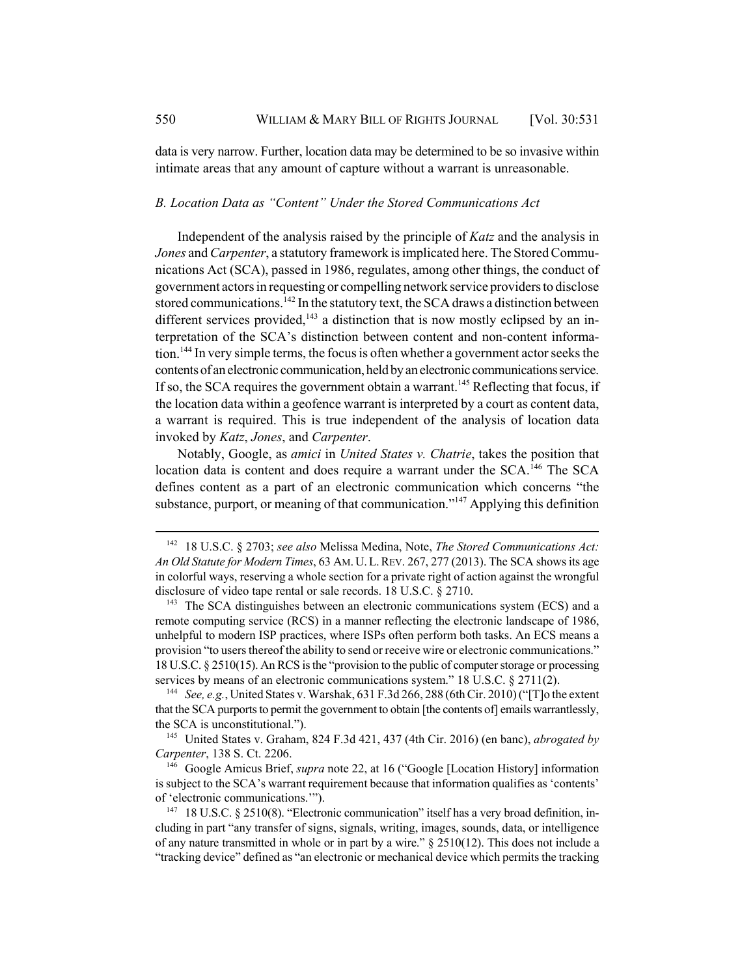data is very narrow. Further, location data may be determined to be so invasive within intimate areas that any amount of capture without a warrant is unreasonable.

## *B. Location Data as "Content" Under the Stored Communications Act*

Independent of the analysis raised by the principle of *Katz* and the analysis in *Jones* and *Carpenter*, a statutory framework is implicated here. The Stored Communications Act (SCA), passed in 1986, regulates, among other things, the conduct of government actors in requesting or compelling network service providers to disclose stored communications.<sup>142</sup> In the statutory text, the SCA draws a distinction between different services provided, $143$  a distinction that is now mostly eclipsed by an interpretation of the SCA's distinction between content and non-content information.144 In very simple terms, the focus is often whether a government actor seeks the contents of an electronic communication, held by an electronic communications service. If so, the SCA requires the government obtain a warrant.<sup>145</sup> Reflecting that focus, if the location data within a geofence warrant is interpreted by a court as content data, a warrant is required. This is true independent of the analysis of location data invoked by *Katz*, *Jones*, and *Carpenter*.

Notably, Google, as *amici* in *United States v. Chatrie*, takes the position that location data is content and does require a warrant under the SCA.<sup>146</sup> The SCA defines content as a part of an electronic communication which concerns "the substance, purport, or meaning of that communication. $147$  Applying this definition

<sup>144</sup> *See, e.g.*, United States v. Warshak, 631 F.3d 266, 288 (6th Cir. 2010) ("[T]o the extent that the SCA purports to permit the government to obtain [the contents of] emails warrantlessly, the SCA is unconstitutional.").

<sup>145</sup> United States v. Graham, 824 F.3d 421, 437 (4th Cir. 2016) (en banc), *abrogated by Carpenter*, 138 S. Ct. 2206.

<sup>146</sup> Google Amicus Brief, *supra* note 22, at 16 ("Google [Location History] information is subject to the SCA's warrant requirement because that information qualifies as 'contents' of 'electronic communications.'").

<sup>142</sup> 18 U.S.C. § 2703; *see also* Melissa Medina, Note, *The Stored Communications Act: An Old Statute for Modern Times*, 63 AM. U.L.REV. 267, 277 (2013). The SCA shows its age in colorful ways, reserving a whole section for a private right of action against the wrongful disclosure of video tape rental or sale records. 18 U.S.C. § 2710.

 $143$  The SCA distinguishes between an electronic communications system (ECS) and a remote computing service (RCS) in a manner reflecting the electronic landscape of 1986, unhelpful to modern ISP practices, where ISPs often perform both tasks. An ECS means a provision "to users thereof the ability to send or receive wire or electronic communications." 18 U.S.C. § 2510(15). An RCS is the "provision to the public of computer storage or processing services by means of an electronic communications system." 18 U.S.C. § 2711(2).

<sup>&</sup>lt;sup>147</sup> 18 U.S.C. § 2510(8). "Electronic communication" itself has a very broad definition, including in part "any transfer of signs, signals, writing, images, sounds, data, or intelligence of any nature transmitted in whole or in part by a wire."  $\S$  2510(12). This does not include a "tracking device" defined as "an electronic or mechanical device which permits the tracking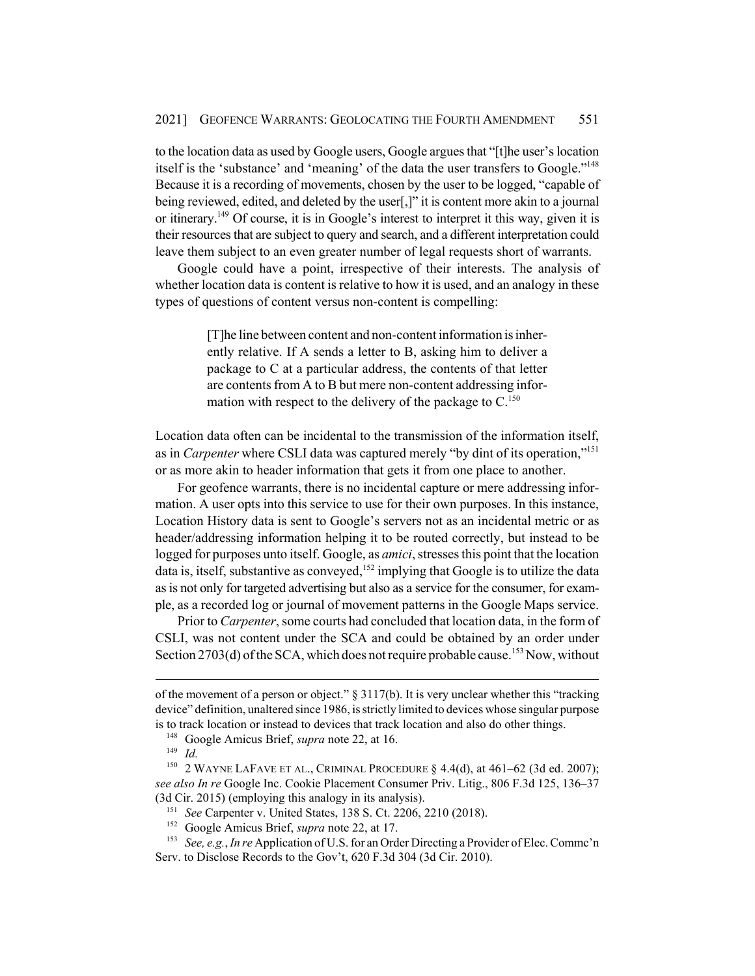to the location data as used by Google users, Google argues that "[t]he user's location itself is the 'substance' and 'meaning' of the data the user transfers to Google."<sup>148</sup> Because it is a recording of movements, chosen by the user to be logged, "capable of being reviewed, edited, and deleted by the user[,]" it is content more akin to a journal or itinerary.149 Of course, it is in Google's interest to interpret it this way, given it is their resources that are subject to query and search, and a different interpretation could leave them subject to an even greater number of legal requests short of warrants.

Google could have a point, irrespective of their interests. The analysis of whether location data is content is relative to how it is used, and an analogy in these types of questions of content versus non-content is compelling:

> [T]he line between content and non-content information is inherently relative. If A sends a letter to B, asking him to deliver a package to C at a particular address, the contents of that letter are contents from A to B but mere non-content addressing information with respect to the delivery of the package to  $C<sup>150</sup>$

Location data often can be incidental to the transmission of the information itself, as in *Carpenter* where CSLI data was captured merely "by dint of its operation,"<sup>151</sup> or as more akin to header information that gets it from one place to another.

For geofence warrants, there is no incidental capture or mere addressing information. A user opts into this service to use for their own purposes. In this instance, Location History data is sent to Google's servers not as an incidental metric or as header/addressing information helping it to be routed correctly, but instead to be logged for purposes unto itself. Google, as *amici*, stresses this point that the location data is, itself, substantive as conveyed,<sup>152</sup> implying that Google is to utilize the data as is not only for targeted advertising but also as a service for the consumer, for example, as a recorded log or journal of movement patterns in the Google Maps service.

Prior to *Carpenter*, some courts had concluded that location data, in the form of CSLI, was not content under the SCA and could be obtained by an order under Section 2703(d) of the SCA, which does not require probable cause.<sup>153</sup> Now, without

of the movement of a person or object." § 3117(b). It is very unclear whether this "tracking device" definition, unaltered since 1986, is strictly limited to devices whose singular purpose is to track location or instead to devices that track location and also do other things.

<sup>148</sup> Google Amicus Brief, *supra* note 22, at 16.

<sup>149</sup> *Id.*

<sup>&</sup>lt;sup>150</sup> 2 WAYNE LAFAVE ET AL., CRIMINAL PROCEDURE  $\S$  4.4(d), at 461–62 (3d ed. 2007); *see also In re* Google Inc. Cookie Placement Consumer Priv. Litig., 806 F.3d 125, 136–37 (3d Cir. 2015) (employing this analogy in its analysis).

<sup>151</sup> *See* Carpenter v. United States, 138 S. Ct. 2206, 2210 (2018).

<sup>152</sup> Google Amicus Brief, *supra* note 22, at 17.

<sup>153</sup> *See, e.g.*, *In re* Application of U.S. for an Order Directing a Provider of Elec. Commc'n Serv. to Disclose Records to the Gov't, 620 F.3d 304 (3d Cir. 2010).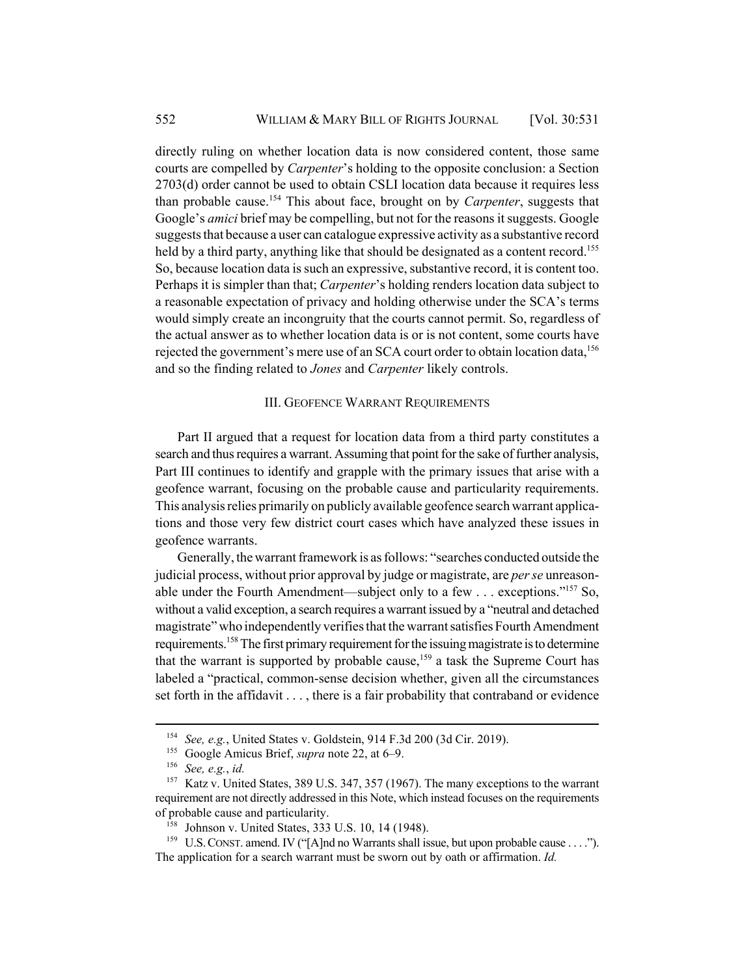directly ruling on whether location data is now considered content, those same courts are compelled by *Carpenter*'s holding to the opposite conclusion: a Section 2703(d) order cannot be used to obtain CSLI location data because it requires less than probable cause.154 This about face, brought on by *Carpenter*, suggests that Google's *amici* brief may be compelling, but not for the reasons it suggests. Google suggests that because a user can catalogue expressive activity as a substantive record held by a third party, anything like that should be designated as a content record.<sup>155</sup> So, because location data is such an expressive, substantive record, it is content too. Perhaps it is simpler than that; *Carpenter*'s holding renders location data subject to a reasonable expectation of privacy and holding otherwise under the SCA's terms would simply create an incongruity that the courts cannot permit. So, regardless of the actual answer as to whether location data is or is not content, some courts have rejected the government's mere use of an SCA court order to obtain location data,  $156$ and so the finding related to *Jones* and *Carpenter* likely controls.

#### III. GEOFENCE WARRANT REQUIREMENTS

Part II argued that a request for location data from a third party constitutes a search and thus requires a warrant. Assuming that point for the sake of further analysis, Part III continues to identify and grapple with the primary issues that arise with a geofence warrant, focusing on the probable cause and particularity requirements. This analysis relies primarily on publicly available geofence search warrant applications and those very few district court cases which have analyzed these issues in geofence warrants.

Generally, the warrant framework is as follows: "searches conducted outside the judicial process, without prior approval by judge or magistrate, are *per se* unreasonable under the Fourth Amendment—subject only to a few  $\dots$  exceptions."<sup>157</sup> So, without a valid exception, a search requires a warrant issued by a "neutral and detached magistrate" who independently verifies that the warrant satisfies Fourth Amendment requirements.158 The first primary requirement for the issuing magistrate is to determine that the warrant is supported by probable cause,  $159$  a task the Supreme Court has labeled a "practical, common-sense decision whether, given all the circumstances set forth in the affidavit . . . , there is a fair probability that contraband or evidence

<sup>154</sup> *See, e.g.*, United States v. Goldstein, 914 F.3d 200 (3d Cir. 2019).

<sup>155</sup> Google Amicus Brief, *supra* note 22, at 6–9.

<sup>156</sup> *See, e.g.*, *id.*

<sup>&</sup>lt;sup>157</sup> Katz v. United States, 389 U.S. 347, 357 (1967). The many exceptions to the warrant requirement are not directly addressed in this Note, which instead focuses on the requirements of probable cause and particularity.

<sup>158</sup> Johnson v. United States, 333 U.S. 10, 14 (1948).

<sup>&</sup>lt;sup>159</sup> U.S. CONST. amend. IV ("[A]nd no Warrants shall issue, but upon probable cause . . . ."). The application for a search warrant must be sworn out by oath or affirmation. *Id.*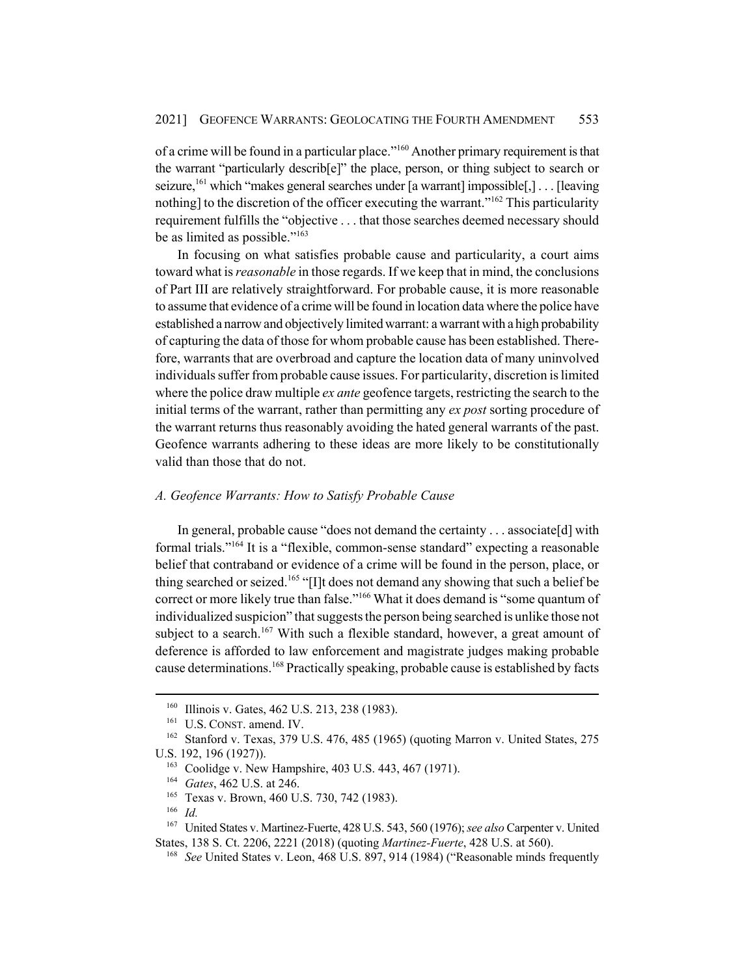of a crime will be found in a particular place."160 Another primary requirement is that the warrant "particularly describ[e]" the place, person, or thing subject to search or seizure,<sup>161</sup> which "makes general searches under [a warrant] impossible[,] . . . [leaving] nothing] to the discretion of the officer executing the warrant."<sup>162</sup> This particularity requirement fulfills the "objective . . . that those searches deemed necessary should be as limited as possible."163

In focusing on what satisfies probable cause and particularity, a court aims toward what is *reasonable* in those regards. If we keep that in mind, the conclusions of Part III are relatively straightforward. For probable cause, it is more reasonable to assume that evidence of a crime will be found in location data where the police have established a narrow and objectively limited warrant: a warrant with a high probability of capturing the data of those for whom probable cause has been established. Therefore, warrants that are overbroad and capture the location data of many uninvolved individuals suffer from probable cause issues. For particularity, discretion is limited where the police draw multiple *ex ante* geofence targets, restricting the search to the initial terms of the warrant, rather than permitting any *ex post* sorting procedure of the warrant returns thus reasonably avoiding the hated general warrants of the past. Geofence warrants adhering to these ideas are more likely to be constitutionally valid than those that do not.

### *A. Geofence Warrants: How to Satisfy Probable Cause*

In general, probable cause "does not demand the certainty . . . associate[d] with formal trials."164 It is a "flexible, common-sense standard" expecting a reasonable belief that contraband or evidence of a crime will be found in the person, place, or thing searched or seized.<sup>165</sup> "[I]t does not demand any showing that such a belief be correct or more likely true than false."166 What it does demand is "some quantum of individualized suspicion" that suggests the person being searched is unlike those not subject to a search.<sup>167</sup> With such a flexible standard, however, a great amount of deference is afforded to law enforcement and magistrate judges making probable cause determinations.<sup>168</sup> Practically speaking, probable cause is established by facts

<sup>&</sup>lt;sup>160</sup> Illinois v. Gates, 462 U.S. 213, 238 (1983).

<sup>&</sup>lt;sup>161</sup> U.S. CONST. amend. IV.

<sup>162</sup> Stanford v. Texas, 379 U.S. 476, 485 (1965) (quoting Marron v. United States, 275 U.S. 192, 196 (1927)).

<sup>&</sup>lt;sup>163</sup> Coolidge v. New Hampshire, 403 U.S. 443, 467 (1971).

<sup>164</sup> *Gates*, 462 U.S. at 246.

<sup>&</sup>lt;sup>165</sup> Texas v. Brown, 460 U.S. 730, 742 (1983).

<sup>166</sup> *Id.*

<sup>167</sup> United States v. Martinez-Fuerte, 428 U.S. 543, 560 (1976); *see also* Carpenter v. United States, 138 S. Ct. 2206, 2221 (2018) (quoting *Martinez-Fuerte*, 428 U.S. at 560).

<sup>168</sup> *See* United States v. Leon, 468 U.S. 897, 914 (1984) ("Reasonable minds frequently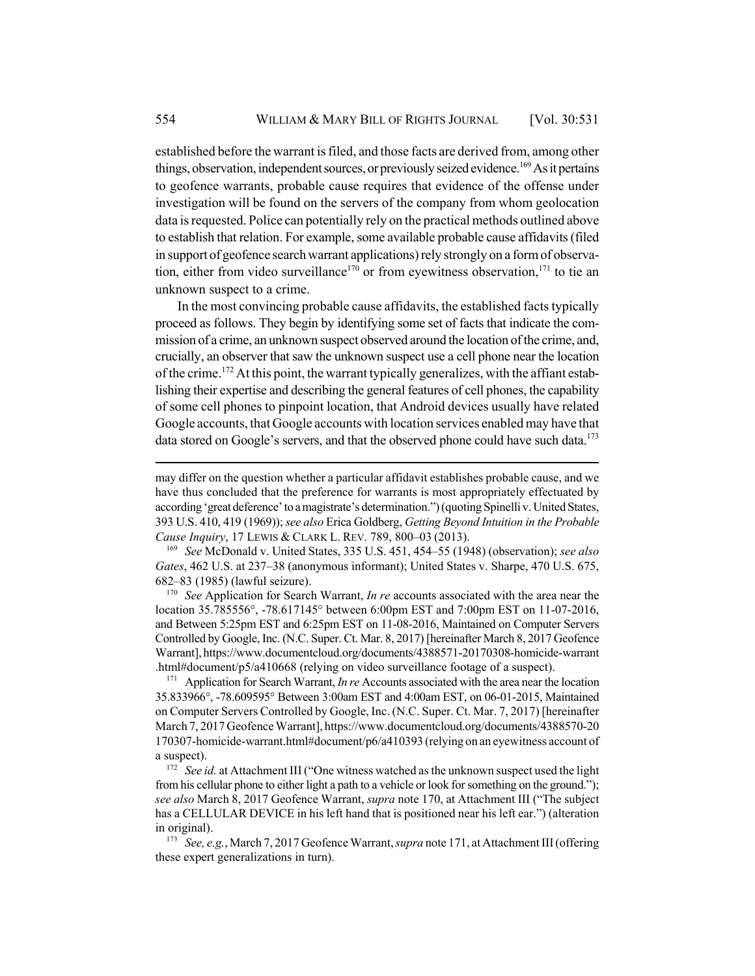established before the warrant is filed, and those facts are derived from, among other things, observation, independent sources, or previously seized evidence.<sup>169</sup> As it pertains to geofence warrants, probable cause requires that evidence of the offense under investigation will be found on the servers of the company from whom geolocation data is requested. Police can potentially rely on the practical methods outlined above to establish that relation. For example, some available probable cause affidavits (filed in support of geofence search warrant applications) rely strongly on a form of observation, either from video surveillance<sup>170</sup> or from eyewitness observation,<sup>171</sup> to tie an unknown suspect to a crime.

In the most convincing probable cause affidavits, the established facts typically proceed as follows. They begin by identifying some set of facts that indicate the commission of a crime, an unknown suspect observed around the location of the crime, and, crucially, an observer that saw the unknown suspect use a cell phone near the location of the crime.<sup>172</sup> At this point, the warrant typically generalizes, with the affiant establishing their expertise and describing the general features of cell phones, the capability of some cell phones to pinpoint location, that Android devices usually have related Google accounts, that Google accounts with location services enabled may have that data stored on Google's servers, and that the observed phone could have such data.<sup>173</sup>

<sup>169</sup> *See* McDonald v. United States, 335 U.S. 451, 454–55 (1948) (observation); *see also Gates*, 462 U.S. at 237–38 (anonymous informant); United States v. Sharpe, 470 U.S. 675, 682–83 (1985) (lawful seizure).

<sup>170</sup> *See* Application for Search Warrant, *In re* accounts associated with the area near the location 35.785556°, -78.617145° between 6:00pm EST and 7:00pm EST on 11-07-2016, and Between 5:25pm EST and 6:25pm EST on 11-08-2016, Maintained on Computer Servers Controlled by Google, Inc. (N.C. Super. Ct. Mar. 8, 2017) [hereinafter March 8, 2017 Geofence Warrant], https://www.documentcloud.org/documents/4388571-20170308-homicide-warrant .html#document/p5/a410668 (relying on video surveillance footage of a suspect).

<sup>171</sup> Application for Search Warrant, *In re* Accounts associated with the area near the location 35.833966°, -78.609595° Between 3:00am EST and 4:00am EST, on 06-01-2015, Maintained on Computer Servers Controlled by Google, Inc. (N.C. Super. Ct. Mar. 7, 2017) [hereinafter March 7, 2017 Geofence Warrant], https://www.documentcloud.org/documents/4388570-20 170307-homicide-warrant.html#document/p6/a410393 (relying on an eyewitness account of a suspect).

<sup>172</sup> *See id.* at Attachment III ("One witness watched as the unknown suspect used the light from his cellular phone to either light a path to a vehicle or look for something on the ground."); *see also* March 8, 2017 Geofence Warrant, *supra* note 170, at Attachment III ("The subject has a CELLULAR DEVICE in his left hand that is positioned near his left ear.") (alteration in original).

<sup>173</sup> *See, e.g.*, March 7, 2017 Geofence Warrant, *supra* note 171, at Attachment III (offering these expert generalizations in turn).

may differ on the question whether a particular affidavit establishes probable cause, and we have thus concluded that the preference for warrants is most appropriately effectuated by according 'great deference' to a magistrate's determination.") (quoting Spinelli v. United States, 393 U.S. 410, 419 (1969)); *see also* Erica Goldberg, *Getting Beyond Intuition in the Probable Cause Inquiry*, 17 LEWIS & CLARK L. REV. 789, 800–03 (2013).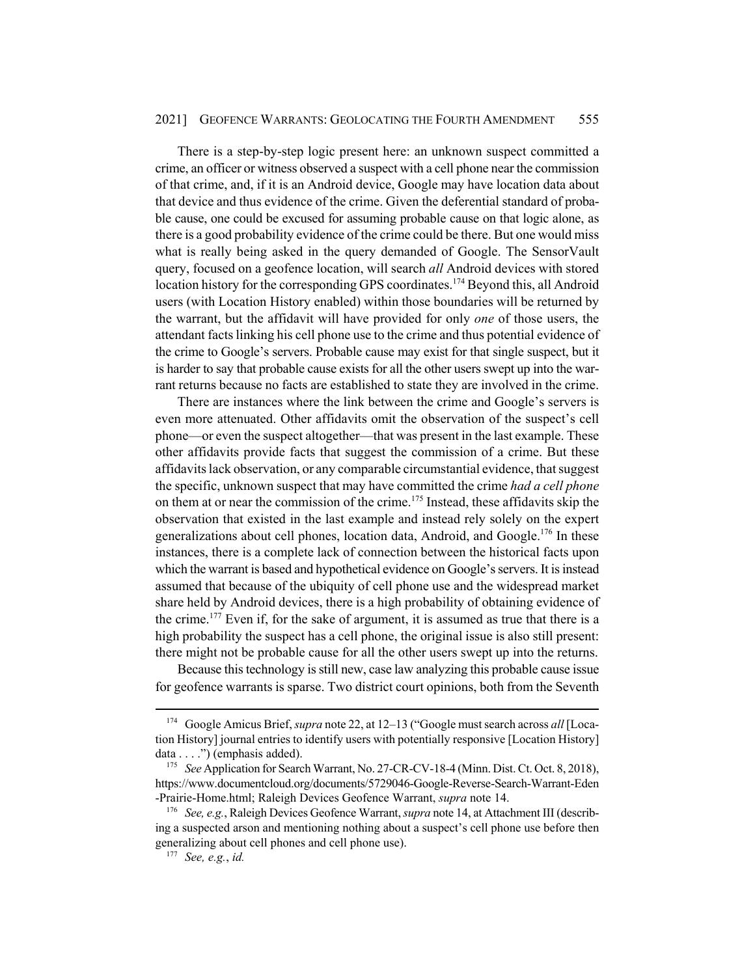There is a step-by-step logic present here: an unknown suspect committed a crime, an officer or witness observed a suspect with a cell phone near the commission of that crime, and, if it is an Android device, Google may have location data about that device and thus evidence of the crime. Given the deferential standard of probable cause, one could be excused for assuming probable cause on that logic alone, as there is a good probability evidence of the crime could be there. But one would miss what is really being asked in the query demanded of Google. The SensorVault query, focused on a geofence location, will search *all* Android devices with stored location history for the corresponding GPS coordinates.<sup>174</sup> Beyond this, all Android users (with Location History enabled) within those boundaries will be returned by the warrant, but the affidavit will have provided for only *one* of those users, the attendant facts linking his cell phone use to the crime and thus potential evidence of the crime to Google's servers. Probable cause may exist for that single suspect, but it is harder to say that probable cause exists for all the other users swept up into the warrant returns because no facts are established to state they are involved in the crime.

There are instances where the link between the crime and Google's servers is even more attenuated. Other affidavits omit the observation of the suspect's cell phone—or even the suspect altogether—that was present in the last example. These other affidavits provide facts that suggest the commission of a crime. But these affidavits lack observation, or any comparable circumstantial evidence, that suggest the specific, unknown suspect that may have committed the crime *had a cell phone* on them at or near the commission of the crime.<sup>175</sup> Instead, these affidavits skip the observation that existed in the last example and instead rely solely on the expert generalizations about cell phones, location data, Android, and Google.<sup>176</sup> In these instances, there is a complete lack of connection between the historical facts upon which the warrant is based and hypothetical evidence on Google's servers. It is instead assumed that because of the ubiquity of cell phone use and the widespread market share held by Android devices, there is a high probability of obtaining evidence of the crime.<sup>177</sup> Even if, for the sake of argument, it is assumed as true that there is a high probability the suspect has a cell phone, the original issue is also still present: there might not be probable cause for all the other users swept up into the returns.

Because this technology is still new, case law analyzing this probable cause issue for geofence warrants is sparse. Two district court opinions, both from the Seventh

<sup>174</sup> Google Amicus Brief, *supra* note 22, at 12–13 ("Google must search across *all* [Location History] journal entries to identify users with potentially responsive [Location History] data . . . .") (emphasis added).

<sup>175</sup> *See* Application for Search Warrant, No. 27-CR-CV-18-4 (Minn. Dist. Ct. Oct. 8, 2018), https://www.documentcloud.org/documents/5729046-Google-Reverse-Search-Warrant-Eden -Prairie-Home.html; Raleigh Devices Geofence Warrant, *supra* note 14.

<sup>176</sup> *See, e.g.*, Raleigh Devices Geofence Warrant, *supra* note 14, at Attachment III (describing a suspected arson and mentioning nothing about a suspect's cell phone use before then generalizing about cell phones and cell phone use).

<sup>177</sup> *See, e.g.*, *id.*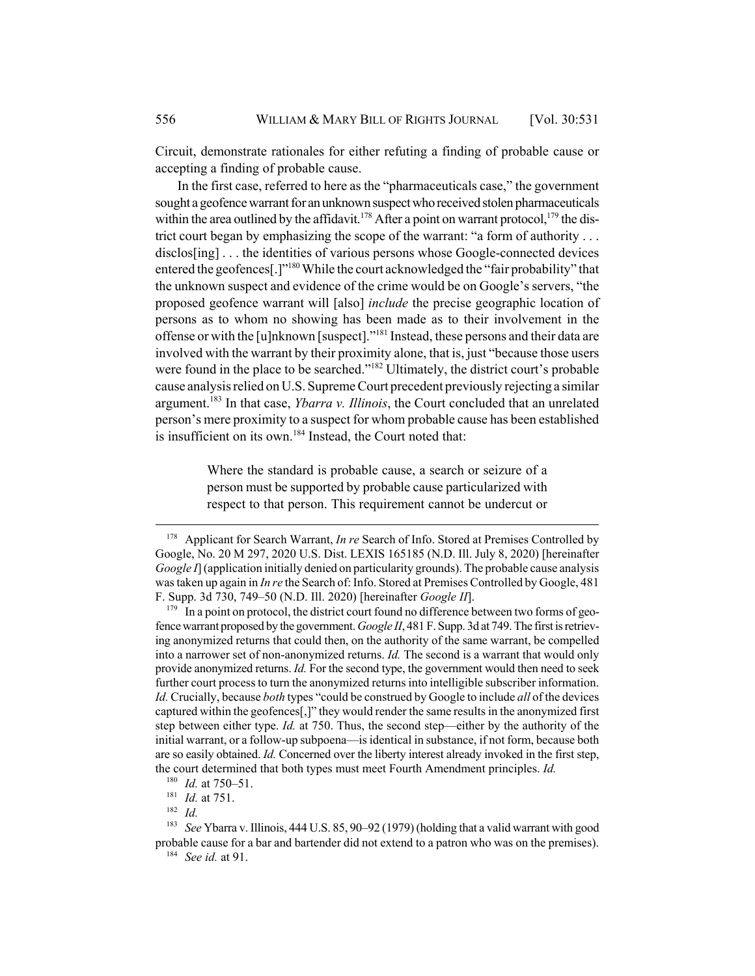Circuit, demonstrate rationales for either refuting a finding of probable cause or accepting a finding of probable cause.

In the first case, referred to here as the "pharmaceuticals case," the government sought a geofence warrant for an unknown suspect who received stolen pharmaceuticals within the area outlined by the affidavit.<sup>178</sup> After a point on warrant protocol,<sup>179</sup> the district court began by emphasizing the scope of the warrant: "a form of authority . . . disclos[ing] ... the identities of various persons whose Google-connected devices entered the geofences<sup>[1]</sup><sup>180</sup> While the court acknowledged the "fair probability" that the unknown suspect and evidence of the crime would be on Google's servers, "the proposed geofence warrant will [also] *include* the precise geographic location of persons as to whom no showing has been made as to their involvement in the offense or with the [u]nknown [suspect]."181 Instead, these persons and their data are involved with the warrant by their proximity alone, that is, just "because those users were found in the place to be searched."<sup>182</sup> Ultimately, the district court's probable cause analysis relied on U.S. Supreme Court precedent previously rejecting a similar argument.183 In that case, *Ybarra v. Illinois*, the Court concluded that an unrelated person's mere proximity to a suspect for whom probable cause has been established is insufficient on its own.<sup>184</sup> Instead, the Court noted that:

> Where the standard is probable cause, a search or seizure of a person must be supported by probable cause particularized with respect to that person. This requirement cannot be undercut or

<sup>182</sup> *Id.*

<sup>178</sup> Applicant for Search Warrant, *In re* Search of Info. Stored at Premises Controlled by Google, No. 20 M 297, 2020 U.S. Dist. LEXIS 165185 (N.D. Ill. July 8, 2020) [hereinafter *Google I*] (application initially denied on particularity grounds). The probable cause analysis was taken up again in *In re* the Search of: Info. Stored at Premises Controlled by Google, 481 F. Supp. 3d 730, 749–50 (N.D. Ill. 2020) [hereinafter *Google II*].

 $179$  In a point on protocol, the district court found no difference between two forms of geofence warrant proposed by the government. *Google II*, 481 F. Supp. 3d at 749. The first is retrieving anonymized returns that could then, on the authority of the same warrant, be compelled into a narrower set of non-anonymized returns. *Id.* The second is a warrant that would only provide anonymized returns. *Id.* For the second type, the government would then need to seek further court process to turn the anonymized returns into intelligible subscriber information. *Id.* Crucially, because *both* types "could be construed by Google to include *all* of the devices captured within the geofences[,]" they would render the same results in the anonymized first step between either type. *Id.* at 750. Thus, the second step—either by the authority of the initial warrant, or a follow-up subpoena—is identical in substance, if not form, because both are so easily obtained. *Id.* Concerned over the liberty interest already invoked in the first step, the court determined that both types must meet Fourth Amendment principles. *Id.*

<sup>180</sup> *Id.* at 750–51.

<sup>181</sup> *Id.* at 751.

<sup>183</sup> *See* Ybarra v. Illinois, 444 U.S. 85, 90–92 (1979) (holding that a valid warrant with good probable cause for a bar and bartender did not extend to a patron who was on the premises).

<sup>184</sup> *See id.* at 91.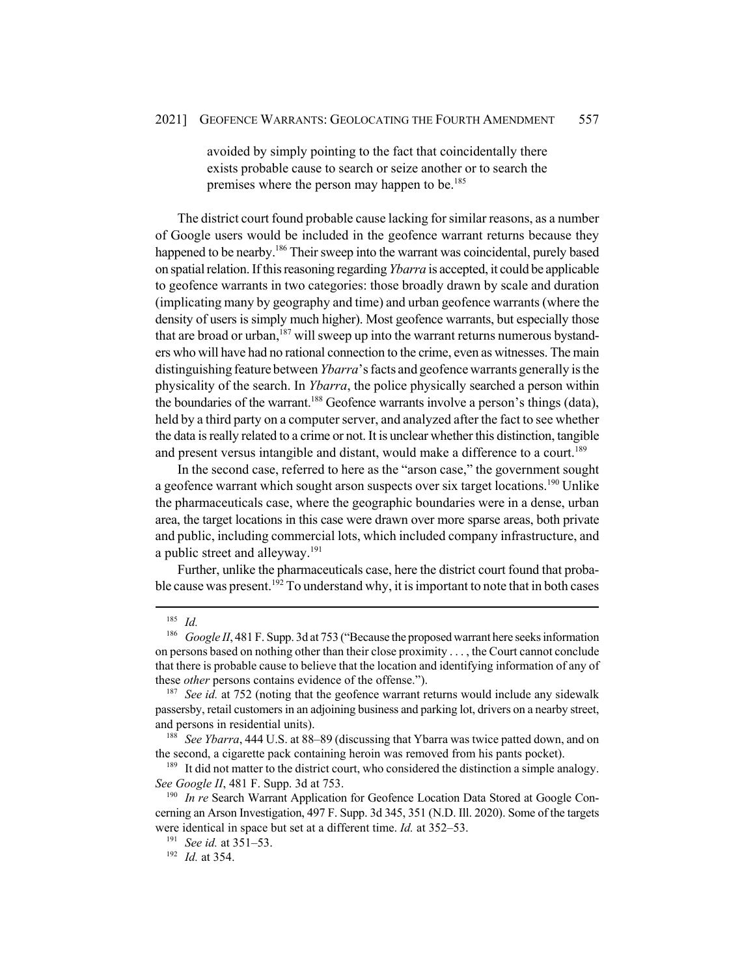avoided by simply pointing to the fact that coincidentally there exists probable cause to search or seize another or to search the premises where the person may happen to be.<sup>185</sup>

The district court found probable cause lacking for similar reasons, as a number of Google users would be included in the geofence warrant returns because they happened to be nearby.<sup>186</sup> Their sweep into the warrant was coincidental, purely based on spatial relation. If this reasoning regarding *Ybarra* is accepted, it could be applicable to geofence warrants in two categories: those broadly drawn by scale and duration (implicating many by geography and time) and urban geofence warrants (where the density of users is simply much higher). Most geofence warrants, but especially those that are broad or urban,  $187$  will sweep up into the warrant returns numerous bystanders who will have had no rational connection to the crime, even as witnesses. The main distinguishing feature between *Ybarra*'s facts and geofence warrants generally is the physicality of the search. In *Ybarra*, the police physically searched a person within the boundaries of the warrant.<sup>188</sup> Geofence warrants involve a person's things (data), held by a third party on a computer server, and analyzed after the fact to see whether the data is really related to a crime or not. It is unclear whether this distinction, tangible and present versus intangible and distant, would make a difference to a court.<sup>189</sup>

In the second case, referred to here as the "arson case," the government sought a geofence warrant which sought arson suspects over six target locations.<sup>190</sup> Unlike the pharmaceuticals case, where the geographic boundaries were in a dense, urban area, the target locations in this case were drawn over more sparse areas, both private and public, including commercial lots, which included company infrastructure, and a public street and alleyway.191

Further, unlike the pharmaceuticals case, here the district court found that probable cause was present.<sup>192</sup> To understand why, it is important to note that in both cases

<sup>188</sup> *See Ybarra*, 444 U.S. at 88–89 (discussing that Ybarra was twice patted down, and on the second, a cigarette pack containing heroin was removed from his pants pocket).

 $\frac{185}{186}$  *Id.* 

Google II, 481 F. Supp. 3d at 753 ("Because the proposed warrant here seeks information on persons based on nothing other than their close proximity . . . , the Court cannot conclude that there is probable cause to believe that the location and identifying information of any of these *other* persons contains evidence of the offense.").

<sup>&</sup>lt;sup>187</sup> See id. at 752 (noting that the geofence warrant returns would include any sidewalk passersby, retail customers in an adjoining business and parking lot, drivers on a nearby street, and persons in residential units).

<sup>&</sup>lt;sup>189</sup> It did not matter to the district court, who considered the distinction a simple analogy. *See Google II*, 481 F. Supp. 3d at 753.

<sup>&</sup>lt;sup>190</sup> *In re* Search Warrant Application for Geofence Location Data Stored at Google Concerning an Arson Investigation, 497 F. Supp. 3d 345, 351 (N.D. Ill. 2020). Some of the targets were identical in space but set at a different time. *Id.* at 352–53.

<sup>191</sup> *See id.* at 351–53.

<sup>192</sup> *Id.* at 354.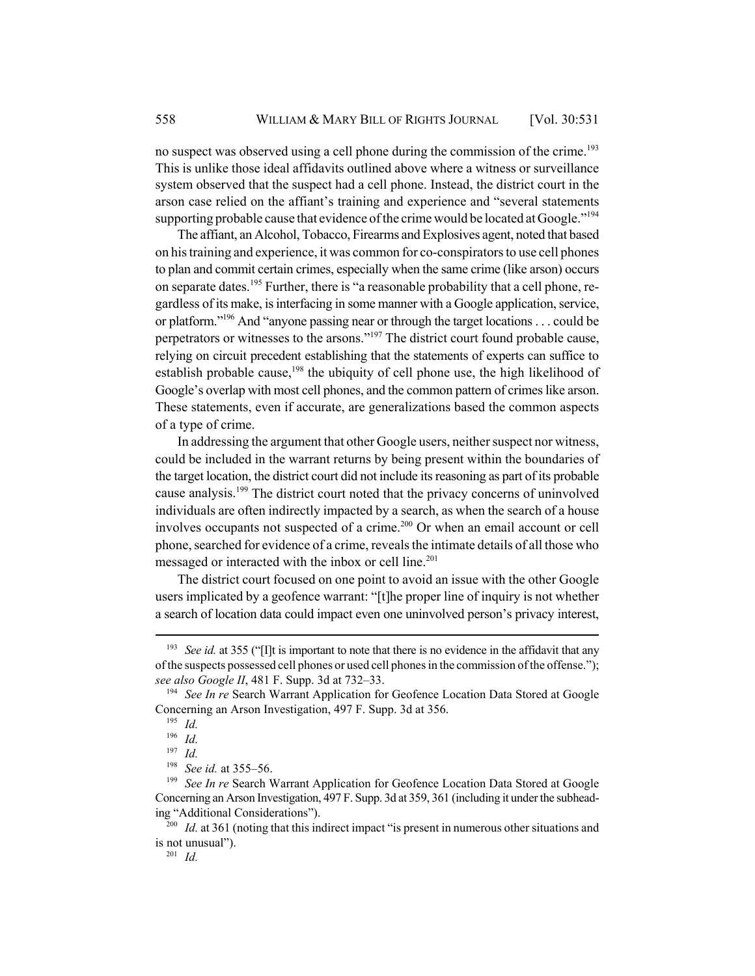no suspect was observed using a cell phone during the commission of the crime.<sup>193</sup> This is unlike those ideal affidavits outlined above where a witness or surveillance system observed that the suspect had a cell phone. Instead, the district court in the arson case relied on the affiant's training and experience and "several statements supporting probable cause that evidence of the crime would be located at Google."<sup>194</sup>

The affiant, an Alcohol, Tobacco, Firearms and Explosives agent, noted that based on his training and experience, it was common for co-conspirators to use cell phones to plan and commit certain crimes, especially when the same crime (like arson) occurs on separate dates.<sup>195</sup> Further, there is "a reasonable probability that a cell phone, regardless of its make, is interfacing in some manner with a Google application, service, or platform."196 And "anyone passing near or through the target locations . . . could be perpetrators or witnesses to the arsons."<sup>197</sup> The district court found probable cause, relying on circuit precedent establishing that the statements of experts can suffice to establish probable cause,<sup>198</sup> the ubiquity of cell phone use, the high likelihood of Google's overlap with most cell phones, and the common pattern of crimes like arson. These statements, even if accurate, are generalizations based the common aspects of a type of crime.

In addressing the argument that other Google users, neither suspect nor witness, could be included in the warrant returns by being present within the boundaries of the target location, the district court did not include its reasoning as part of its probable cause analysis.<sup>199</sup> The district court noted that the privacy concerns of uninvolved individuals are often indirectly impacted by a search, as when the search of a house involves occupants not suspected of a crime.<sup>200</sup> Or when an email account or cell phone, searched for evidence of a crime, reveals the intimate details of all those who messaged or interacted with the inbox or cell line.<sup>201</sup>

The district court focused on one point to avoid an issue with the other Google users implicated by a geofence warrant: "[t]he proper line of inquiry is not whether a search of location data could impact even one uninvolved person's privacy interest,

<sup>&</sup>lt;sup>193</sup> *See id.* at 355 ("I]t is important to note that there is no evidence in the affidavit that any of the suspects possessed cell phones or used cell phones in the commission of the offense."); *see also Google II*, 481 F. Supp. 3d at 732–33.

<sup>194</sup> *See In re* Search Warrant Application for Geofence Location Data Stored at Google Concerning an Arson Investigation, 497 F. Supp. 3d at 356.

<sup>195</sup> *Id.*

<sup>196</sup> *Id.*

<sup>197</sup> *Id.*

<sup>198</sup> *See id.* at 355–56.

<sup>&</sup>lt;sup>199</sup> *See In re* Search Warrant Application for Geofence Location Data Stored at Google Concerning an Arson Investigation, 497 F. Supp. 3d at 359, 361 (including it under the subheading "Additional Considerations").

<sup>&</sup>lt;sup>200</sup> *Id.* at 361 (noting that this indirect impact "is present in numerous other situations and is not unusual").

<sup>201</sup> *Id.*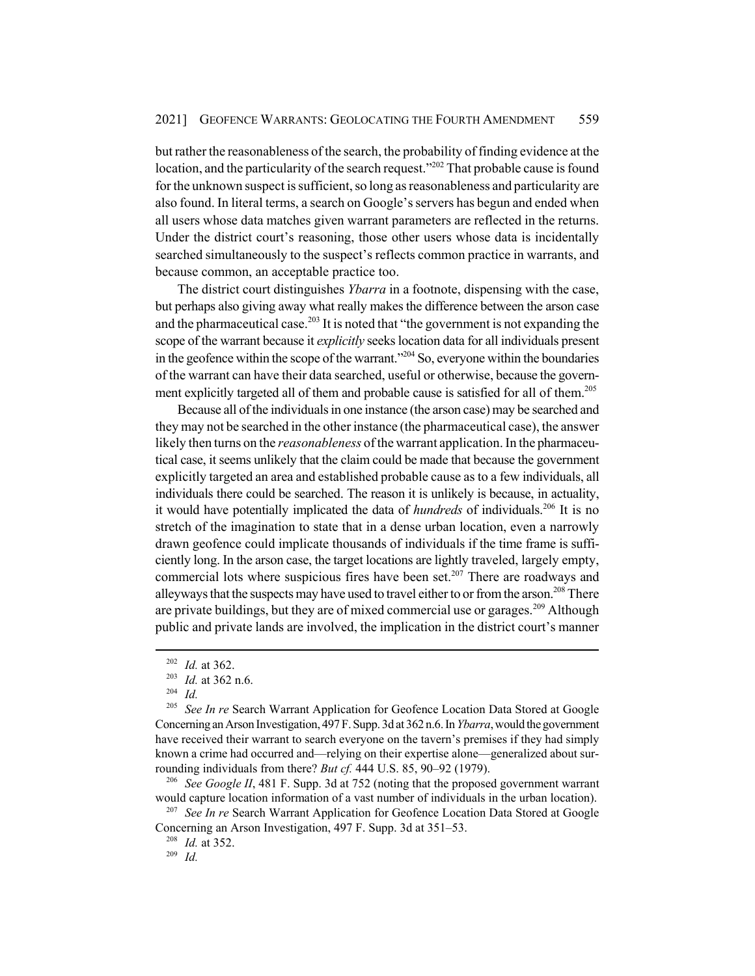but rather the reasonableness of the search, the probability of finding evidence at the location, and the particularity of the search request."<sup>202</sup> That probable cause is found for the unknown suspect is sufficient, so long as reasonableness and particularity are also found. In literal terms, a search on Google's servers has begun and ended when all users whose data matches given warrant parameters are reflected in the returns. Under the district court's reasoning, those other users whose data is incidentally searched simultaneously to the suspect's reflects common practice in warrants, and because common, an acceptable practice too.

The district court distinguishes *Ybarra* in a footnote, dispensing with the case, but perhaps also giving away what really makes the difference between the arson case and the pharmaceutical case.<sup>203</sup> It is noted that "the government is not expanding the scope of the warrant because it *explicitly* seeks location data for all individuals present in the geofence within the scope of the warrant."<sup>204</sup> So, everyone within the boundaries of the warrant can have their data searched, useful or otherwise, because the government explicitly targeted all of them and probable cause is satisfied for all of them.<sup>205</sup>

Because all of the individuals in one instance (the arson case) may be searched and they may not be searched in the other instance (the pharmaceutical case), the answer likely then turns on the *reasonableness* of the warrant application. In the pharmaceutical case, it seems unlikely that the claim could be made that because the government explicitly targeted an area and established probable cause as to a few individuals, all individuals there could be searched. The reason it is unlikely is because, in actuality, it would have potentially implicated the data of *hundreds* of individuals.<sup>206</sup> It is no stretch of the imagination to state that in a dense urban location, even a narrowly drawn geofence could implicate thousands of individuals if the time frame is sufficiently long. In the arson case, the target locations are lightly traveled, largely empty, commercial lots where suspicious fires have been set.<sup>207</sup> There are roadways and alleyways that the suspects may have used to travel either to or from the arson.<sup>208</sup> There are private buildings, but they are of mixed commercial use or garages.<sup>209</sup> Although public and private lands are involved, the implication in the district court's manner

<sup>206</sup> *See Google II*, 481 F. Supp. 3d at 752 (noting that the proposed government warrant would capture location information of a vast number of individuals in the urban location).

<sup>207</sup> See In re Search Warrant Application for Geofence Location Data Stored at Google Concerning an Arson Investigation, 497 F. Supp. 3d at 351–53.

<sup>208</sup> *Id.* at 352.

<sup>209</sup> *Id.*

<sup>202</sup> *Id.* at 362.

<sup>203</sup> *Id.* at 362 n.6.

<sup>204</sup> *Id.*

<sup>&</sup>lt;sup>205</sup> *See In re* Search Warrant Application for Geofence Location Data Stored at Google Concerning an Arson Investigation, 497 F. Supp. 3d at 362 n.6. In *Ybarra*, would the government have received their warrant to search everyone on the tavern's premises if they had simply known a crime had occurred and—relying on their expertise alone—generalized about surrounding individuals from there? *But cf.* 444 U.S. 85, 90–92 (1979).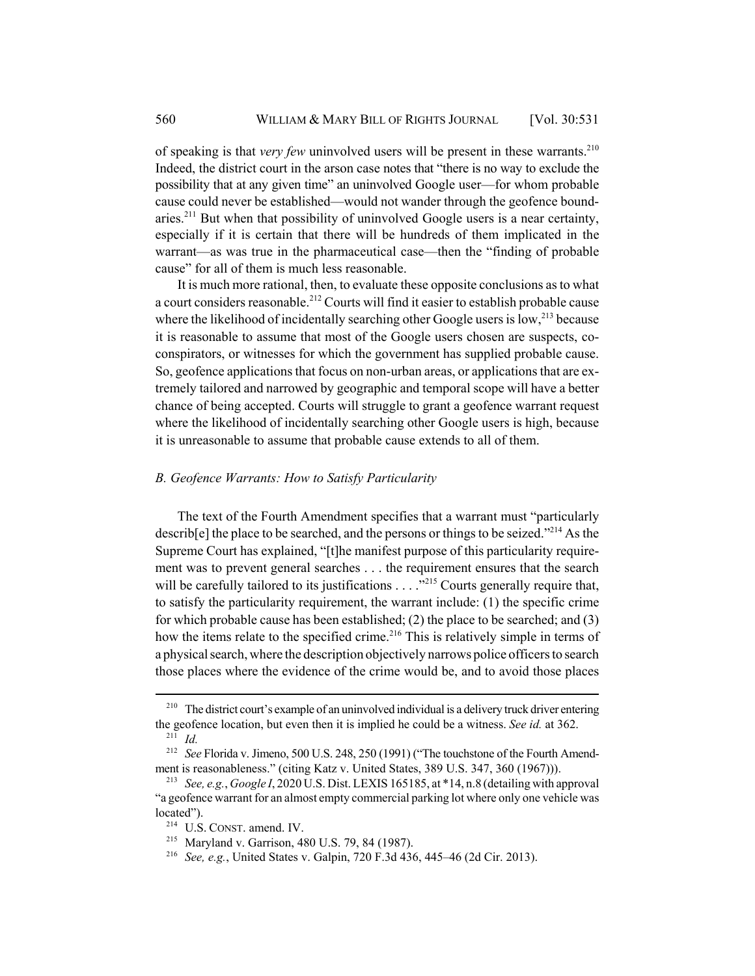of speaking is that *very few* uninvolved users will be present in these warrants.<sup>210</sup> Indeed, the district court in the arson case notes that "there is no way to exclude the possibility that at any given time" an uninvolved Google user—for whom probable cause could never be established—would not wander through the geofence boundaries.<sup>211</sup> But when that possibility of uninvolved Google users is a near certainty, especially if it is certain that there will be hundreds of them implicated in the warrant—as was true in the pharmaceutical case—then the "finding of probable cause" for all of them is much less reasonable.

It is much more rational, then, to evaluate these opposite conclusions as to what a court considers reasonable.<sup>212</sup> Courts will find it easier to establish probable cause where the likelihood of incidentally searching other Google users is low,<sup>213</sup> because it is reasonable to assume that most of the Google users chosen are suspects, coconspirators, or witnesses for which the government has supplied probable cause. So, geofence applications that focus on non-urban areas, or applications that are extremely tailored and narrowed by geographic and temporal scope will have a better chance of being accepted. Courts will struggle to grant a geofence warrant request where the likelihood of incidentally searching other Google users is high, because it is unreasonable to assume that probable cause extends to all of them.

#### *B. Geofence Warrants: How to Satisfy Particularity*

The text of the Fourth Amendment specifies that a warrant must "particularly describ[e] the place to be searched, and the persons or things to be seized."<sup>214</sup> As the Supreme Court has explained, "[t]he manifest purpose of this particularity requirement was to prevent general searches . . . the requirement ensures that the search will be carefully tailored to its justifications  $\dots$  ...  $\frac{1}{2}$  Courts generally require that, to satisfy the particularity requirement, the warrant include: (1) the specific crime for which probable cause has been established; (2) the place to be searched; and (3) how the items relate to the specified crime.<sup>216</sup> This is relatively simple in terms of a physical search, where the description objectively narrows police officers to search those places where the evidence of the crime would be, and to avoid those places

<sup>&</sup>lt;sup>210</sup> The district court's example of an uninvolved individual is a delivery truck driver entering the geofence location, but even then it is implied he could be a witness. *See id.* at 362.  $^{211}$  *Id.* 

<sup>212</sup> *See* Florida v. Jimeno, 500 U.S. 248, 250 (1991) ("The touchstone of the Fourth Amendment is reasonableness." (citing Katz v. United States, 389 U.S. 347, 360 (1967))).

<sup>213</sup> *See, e.g.*, *Google I*, 2020 U.S. Dist. LEXIS 165185, at \*14, n.8 (detailing with approval "a geofence warrant for an almost empty commercial parking lot where only one vehicle was located").

<sup>214</sup> U.S. CONST. amend. IV.

<sup>215</sup> Maryland v. Garrison, 480 U.S. 79, 84 (1987).

<sup>216</sup> *See, e.g.*, United States v. Galpin, 720 F.3d 436, 445–46 (2d Cir. 2013).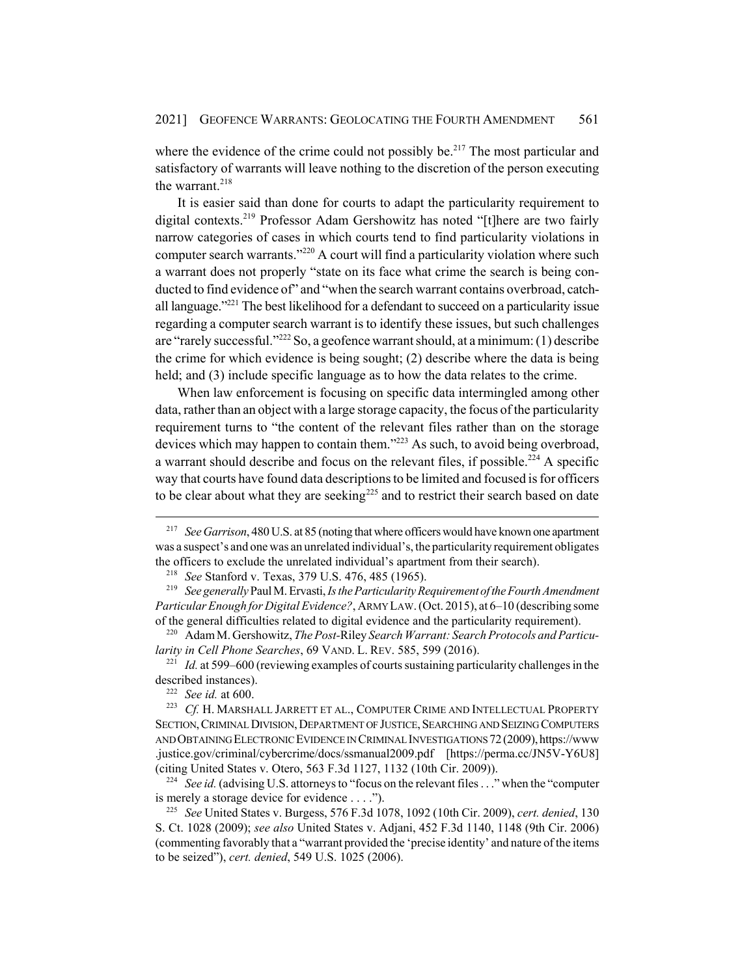where the evidence of the crime could not possibly be.<sup>217</sup> The most particular and satisfactory of warrants will leave nothing to the discretion of the person executing the warrant. $218$ 

It is easier said than done for courts to adapt the particularity requirement to digital contexts.219 Professor Adam Gershowitz has noted "[t]here are two fairly narrow categories of cases in which courts tend to find particularity violations in computer search warrants."220 A court will find a particularity violation where such a warrant does not properly "state on its face what crime the search is being conducted to find evidence of" and "when the search warrant contains overbroad, catchall language."<sup>221</sup> The best likelihood for a defendant to succeed on a particularity issue regarding a computer search warrant is to identify these issues, but such challenges are "rarely successful."222 So, a geofence warrant should, at a minimum: (1) describe the crime for which evidence is being sought; (2) describe where the data is being held; and (3) include specific language as to how the data relates to the crime.

When law enforcement is focusing on specific data intermingled among other data, rather than an object with a large storage capacity, the focus of the particularity requirement turns to "the content of the relevant files rather than on the storage devices which may happen to contain them."<sup>223</sup> As such, to avoid being overbroad, a warrant should describe and focus on the relevant files, if possible.<sup>224</sup> A specific way that courts have found data descriptions to be limited and focused is for officers to be clear about what they are seeking<sup>225</sup> and to restrict their search based on date

<sup>221</sup> *Id.* at 599–600 (reviewing examples of courts sustaining particularity challenges in the described instances).

<sup>224</sup> *See id.* (advising U.S. attorneys to "focus on the relevant files . . ." when the "computer" is merely a storage device for evidence . . . .").

<sup>217</sup> *See Garrison*, 480 U.S. at 85 (noting that where officers would have known one apartment was a suspect's and one was an unrelated individual's, the particularity requirement obligates the officers to exclude the unrelated individual's apartment from their search).

<sup>218</sup> *See* Stanford v. Texas, 379 U.S. 476, 485 (1965).

<sup>219</sup> *See generally* Paul M. Ervasti, *Is the Particularity Requirement of the Fourth Amendment Particular Enough for Digital Evidence?*, ARMY LAW. (Oct. 2015), at 6–10 (describing some of the general difficulties related to digital evidence and the particularity requirement).

<sup>220</sup> Adam M. Gershowitz, *The Post-*Riley *Search Warrant: Search Protocols and Particularity in Cell Phone Searches*, 69 VAND. L. REV. 585, 599 (2016).

<sup>222</sup> *See id.* at 600.

<sup>223</sup> *Cf.* H. MARSHALL JARRETT ET AL., COMPUTER CRIME AND INTELLECTUAL PROPERTY SECTION, CRIMINAL DIVISION, DEPARTMENT OF JUSTICE, SEARCHING AND SEIZING COMPUTERS AND OBTAINING ELECTRONIC EVIDENCE IN CRIMINAL INVESTIGATIONS 72 (2009), https://www .justice.gov/criminal/cybercrime/docs/ssmanual2009.pdf [https://perma.cc/JN5V-Y6U8] (citing United States v. Otero, 563 F.3d 1127, 1132 (10th Cir. 2009)).

<sup>225</sup> *See* United States v. Burgess, 576 F.3d 1078, 1092 (10th Cir. 2009), *cert. denied*, 130 S. Ct. 1028 (2009); *see also* United States v. Adjani, 452 F.3d 1140, 1148 (9th Cir. 2006) (commenting favorably that a "warrant provided the 'precise identity' and nature of the items to be seized"), *cert. denied*, 549 U.S. 1025 (2006).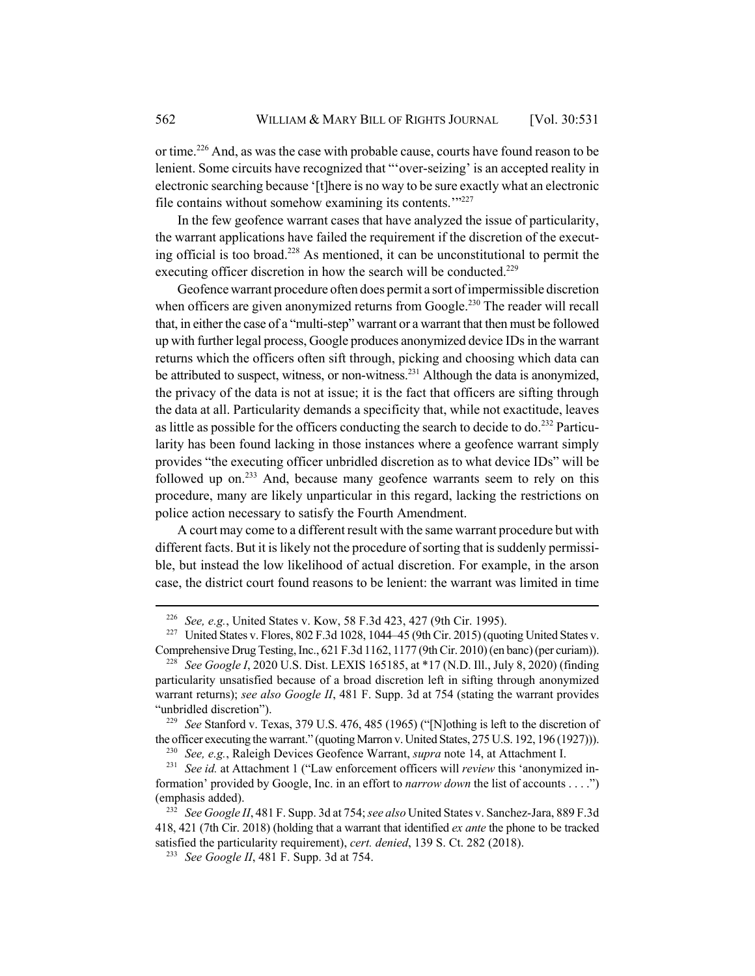or time.226 And, as was the case with probable cause, courts have found reason to be lenient. Some circuits have recognized that "'over-seizing' is an accepted reality in electronic searching because '[t]here is no way to be sure exactly what an electronic file contains without somehow examining its contents.'"<sup>227</sup>

In the few geofence warrant cases that have analyzed the issue of particularity, the warrant applications have failed the requirement if the discretion of the executing official is too broad.<sup>228</sup> As mentioned, it can be unconstitutional to permit the executing officer discretion in how the search will be conducted.<sup>229</sup>

Geofence warrant procedure often does permit a sort of impermissible discretion when officers are given anonymized returns from Google.<sup>230</sup> The reader will recall that, in either the case of a "multi-step" warrant or a warrant that then must be followed up with further legal process, Google produces anonymized device IDs in the warrant returns which the officers often sift through, picking and choosing which data can be attributed to suspect, witness, or non-witness.<sup>231</sup> Although the data is anonymized, the privacy of the data is not at issue; it is the fact that officers are sifting through the data at all. Particularity demands a specificity that, while not exactitude, leaves as little as possible for the officers conducting the search to decide to do.<sup>232</sup> Particularity has been found lacking in those instances where a geofence warrant simply provides "the executing officer unbridled discretion as to what device IDs" will be followed up on.<sup>233</sup> And, because many geofence warrants seem to rely on this procedure, many are likely unparticular in this regard, lacking the restrictions on police action necessary to satisfy the Fourth Amendment.

A court may come to a different result with the same warrant procedure but with different facts. But it is likely not the procedure of sorting that is suddenly permissible, but instead the low likelihood of actual discretion. For example, in the arson case, the district court found reasons to be lenient: the warrant was limited in time

<sup>226</sup> *See, e.g.*, United States v. Kow, 58 F.3d 423, 427 (9th Cir. 1995).

<sup>&</sup>lt;sup>227</sup> United States v. Flores, 802 F.3d 1028, 1044–45 (9th Cir. 2015) (quoting United States v. Comprehensive Drug Testing, Inc., 621 F.3d 1162, 1177 (9th Cir. 2010) (en banc) (per curiam)).

<sup>228</sup> *See Google I*, 2020 U.S. Dist. LEXIS 165185, at \*17 (N.D. Ill., July 8, 2020) (finding particularity unsatisfied because of a broad discretion left in sifting through anonymized warrant returns); *see also Google II*, 481 F. Supp. 3d at 754 (stating the warrant provides "unbridled discretion").

<sup>229</sup> *See* Stanford v. Texas, 379 U.S. 476, 485 (1965) ("[N]othing is left to the discretion of the officer executing the warrant." (quoting Marron v. United States, 275 U.S. 192, 196 (1927))).

<sup>230</sup> *See, e.g.*, Raleigh Devices Geofence Warrant, *supra* note 14, at Attachment I.

<sup>231</sup> *See id.* at Attachment 1 ("Law enforcement officers will *review* this 'anonymized information' provided by Google, Inc. in an effort to *narrow down* the list of accounts . . . .") (emphasis added).

<sup>232</sup> *See Google II*, 481 F. Supp. 3d at 754; *see also* United States v. Sanchez-Jara, 889 F.3d 418, 421 (7th Cir. 2018) (holding that a warrant that identified *ex ante* the phone to be tracked satisfied the particularity requirement), *cert. denied*, 139 S. Ct. 282 (2018).

<sup>233</sup> *See Google II*, 481 F. Supp. 3d at 754.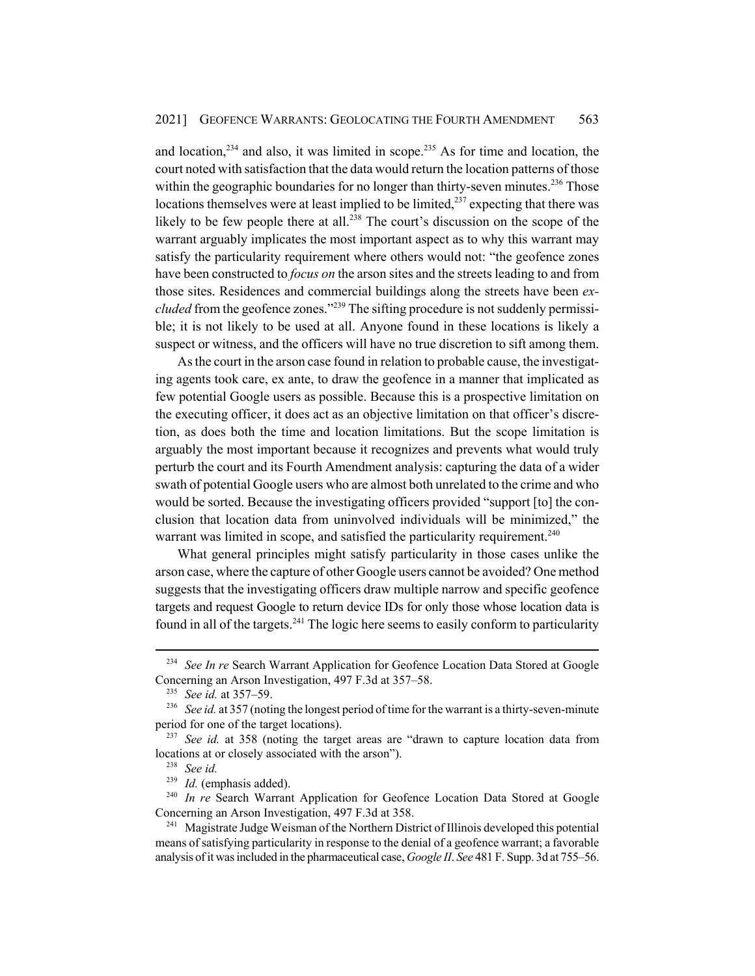and location, $234$  and also, it was limited in scope. $235$  As for time and location, the court noted with satisfaction that the data would return the location patterns of those within the geographic boundaries for no longer than thirty-seven minutes.<sup>236</sup> Those locations themselves were at least implied to be limited, $^{237}$  expecting that there was likely to be few people there at all.<sup>238</sup> The court's discussion on the scope of the warrant arguably implicates the most important aspect as to why this warrant may satisfy the particularity requirement where others would not: "the geofence zones have been constructed to *focus on* the arson sites and the streets leading to and from those sites. Residences and commercial buildings along the streets have been *excluded* from the geofence zones."<sup>239</sup> The sifting procedure is not suddenly permissible; it is not likely to be used at all. Anyone found in these locations is likely a suspect or witness, and the officers will have no true discretion to sift among them.

As the court in the arson case found in relation to probable cause, the investigating agents took care, ex ante, to draw the geofence in a manner that implicated as few potential Google users as possible. Because this is a prospective limitation on the executing officer, it does act as an objective limitation on that officer's discretion, as does both the time and location limitations. But the scope limitation is arguably the most important because it recognizes and prevents what would truly perturb the court and its Fourth Amendment analysis: capturing the data of a wider swath of potential Google users who are almost both unrelated to the crime and who would be sorted. Because the investigating officers provided "support [to] the conclusion that location data from uninvolved individuals will be minimized," the warrant was limited in scope, and satisfied the particularity requirement.<sup>240</sup>

What general principles might satisfy particularity in those cases unlike the arson case, where the capture of other Google users cannot be avoided? One method suggests that the investigating officers draw multiple narrow and specific geofence targets and request Google to return device IDs for only those whose location data is found in all of the targets.<sup>241</sup> The logic here seems to easily conform to particularity

<sup>&</sup>lt;sup>234</sup> *See In re Search Warrant Application for Geofence Location Data Stored at Google* Concerning an Arson Investigation, 497 F.3d at 357–58.

<sup>235</sup> *See id.* at 357–59.

<sup>&</sup>lt;sup>236</sup> *See id.* at 357 (noting the longest period of time for the warrant is a thirty-seven-minute period for one of the target locations).

<sup>&</sup>lt;sup>237</sup> *See id.* at 358 (noting the target areas are "drawn to capture location data from locations at or closely associated with the arson").

<sup>238</sup> *See id.*

<sup>239</sup> *Id.* (emphasis added).

<sup>&</sup>lt;sup>240</sup> In re Search Warrant Application for Geofence Location Data Stored at Google Concerning an Arson Investigation, 497 F.3d at 358.

<sup>&</sup>lt;sup>241</sup> Magistrate Judge Weisman of the Northern District of Illinois developed this potential means of satisfying particularity in response to the denial of a geofence warrant; a favorable analysis of it was included in the pharmaceutical case, *Google II*. *See* 481 F. Supp. 3d at 755–56.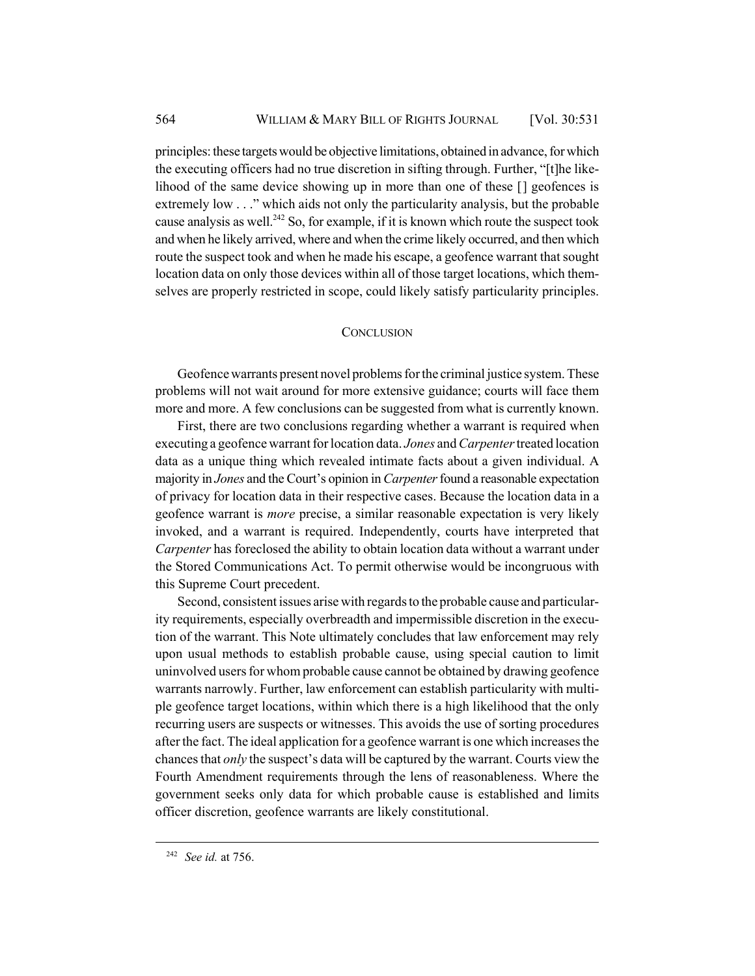principles: these targets would be objective limitations, obtained in advance, for which the executing officers had no true discretion in sifting through. Further, "[t]he likelihood of the same device showing up in more than one of these [] geofences is extremely low . . ." which aids not only the particularity analysis, but the probable cause analysis as well.<sup>242</sup> So, for example, if it is known which route the suspect took and when he likely arrived, where and when the crime likely occurred, and then which route the suspect took and when he made his escape, a geofence warrant that sought location data on only those devices within all of those target locations, which themselves are properly restricted in scope, could likely satisfy particularity principles.

### **CONCLUSION**

Geofence warrants present novel problems for the criminal justice system. These problems will not wait around for more extensive guidance; courts will face them more and more. A few conclusions can be suggested from what is currently known.

First, there are two conclusions regarding whether a warrant is required when executing a geofence warrant for location data. *Jones* and *Carpenter* treated location data as a unique thing which revealed intimate facts about a given individual. A majority in *Jones* and the Court's opinion in *Carpenter* found a reasonable expectation of privacy for location data in their respective cases. Because the location data in a geofence warrant is *more* precise, a similar reasonable expectation is very likely invoked, and a warrant is required. Independently, courts have interpreted that *Carpenter* has foreclosed the ability to obtain location data without a warrant under the Stored Communications Act. To permit otherwise would be incongruous with this Supreme Court precedent.

Second, consistent issues arise with regards to the probable cause and particularity requirements, especially overbreadth and impermissible discretion in the execution of the warrant. This Note ultimately concludes that law enforcement may rely upon usual methods to establish probable cause, using special caution to limit uninvolved users for whom probable cause cannot be obtained by drawing geofence warrants narrowly. Further, law enforcement can establish particularity with multiple geofence target locations, within which there is a high likelihood that the only recurring users are suspects or witnesses. This avoids the use of sorting procedures after the fact. The ideal application for a geofence warrant is one which increases the chances that *only* the suspect's data will be captured by the warrant. Courts view the Fourth Amendment requirements through the lens of reasonableness. Where the government seeks only data for which probable cause is established and limits officer discretion, geofence warrants are likely constitutional.

<sup>242</sup> *See id.* at 756.